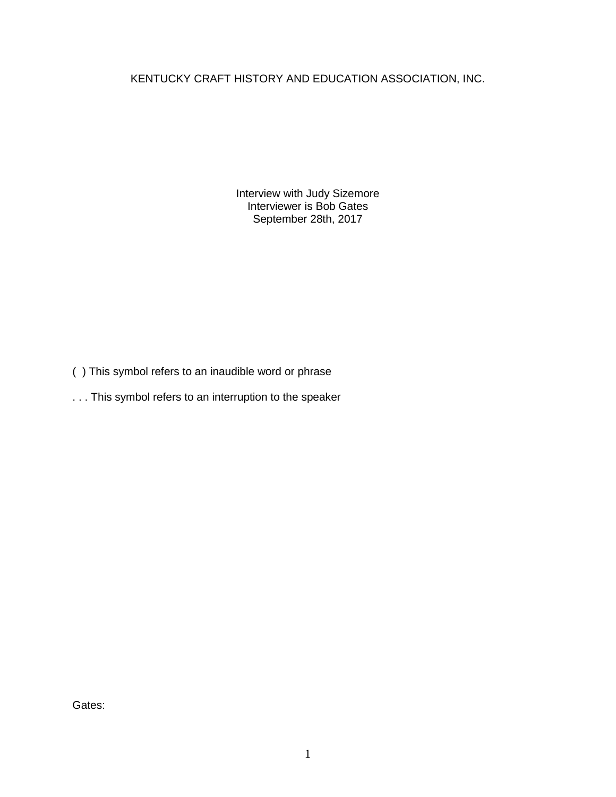KENTUCKY CRAFT HISTORY AND EDUCATION ASSOCIATION, INC.

Interview with Judy Sizemore Interviewer is Bob Gates September 28th, 2017

- ( ) This symbol refers to an inaudible word or phrase
- . . . This symbol refers to an interruption to the speaker

Gates: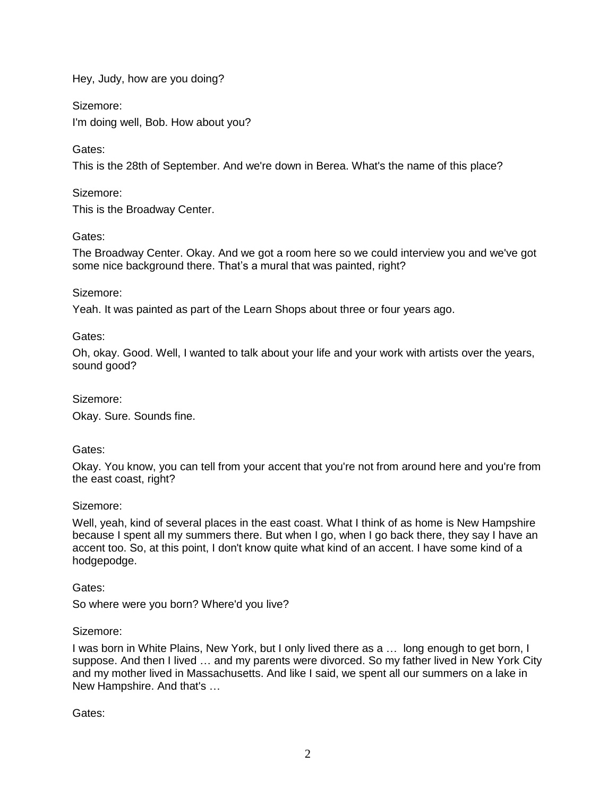Hey, Judy, how are you doing?

Sizemore:

I'm doing well, Bob. How about you?

Gates:

This is the 28th of September. And we're down in Berea. What's the name of this place?

Sizemore:

This is the Broadway Center.

## Gates:

The Broadway Center. Okay. And we got a room here so we could interview you and we've got some nice background there. That's a mural that was painted, right?

## Sizemore:

Yeah. It was painted as part of the Learn Shops about three or four years ago.

Gates:

Oh, okay. Good. Well, I wanted to talk about your life and your work with artists over the years, sound good?

Sizemore:

Okay. Sure. Sounds fine.

# Gates:

Okay. You know, you can tell from your accent that you're not from around here and you're from the east coast, right?

# Sizemore:

Well, yeah, kind of several places in the east coast. What I think of as home is New Hampshire because I spent all my summers there. But when I go, when I go back there, they say I have an accent too. So, at this point, I don't know quite what kind of an accent. I have some kind of a hodgepodge.

# Gates:

So where were you born? Where'd you live?

## Sizemore:

I was born in White Plains, New York, but I only lived there as a … long enough to get born, I suppose. And then I lived … and my parents were divorced. So my father lived in New York City and my mother lived in Massachusetts. And like I said, we spent all our summers on a lake in New Hampshire. And that's …

Gates: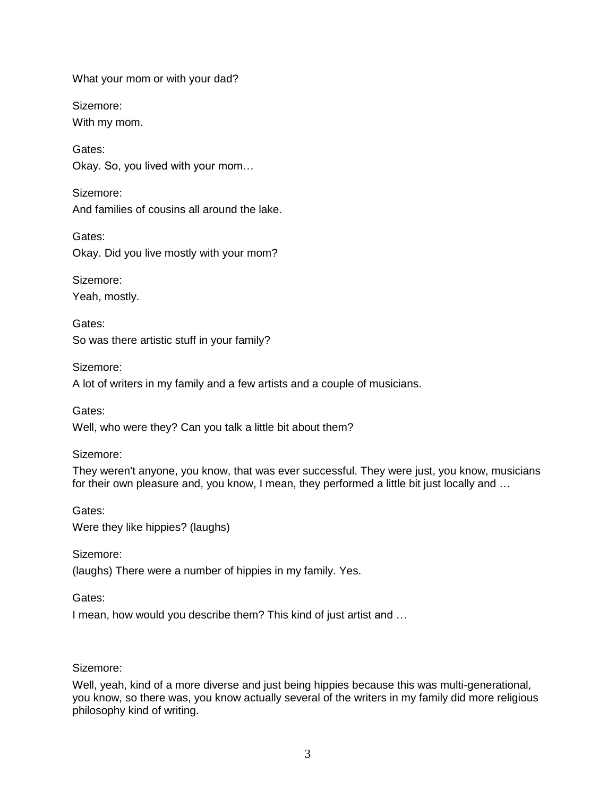What your mom or with your dad?

Sizemore: With my mom.

Gates: Okay. So, you lived with your mom…

Sizemore: And families of cousins all around the lake.

Gates: Okay. Did you live mostly with your mom?

Sizemore: Yeah, mostly.

Gates: So was there artistic stuff in your family?

Sizemore: A lot of writers in my family and a few artists and a couple of musicians.

Gates:

Well, who were they? Can you talk a little bit about them?

Sizemore:

They weren't anyone, you know, that was ever successful. They were just, you know, musicians for their own pleasure and, you know, I mean, they performed a little bit just locally and …

Gates: Were they like hippies? (laughs)

Sizemore:

(laughs) There were a number of hippies in my family. Yes.

Gates:

I mean, how would you describe them? This kind of just artist and …

## Sizemore:

Well, yeah, kind of a more diverse and just being hippies because this was multi-generational, you know, so there was, you know actually several of the writers in my family did more religious philosophy kind of writing.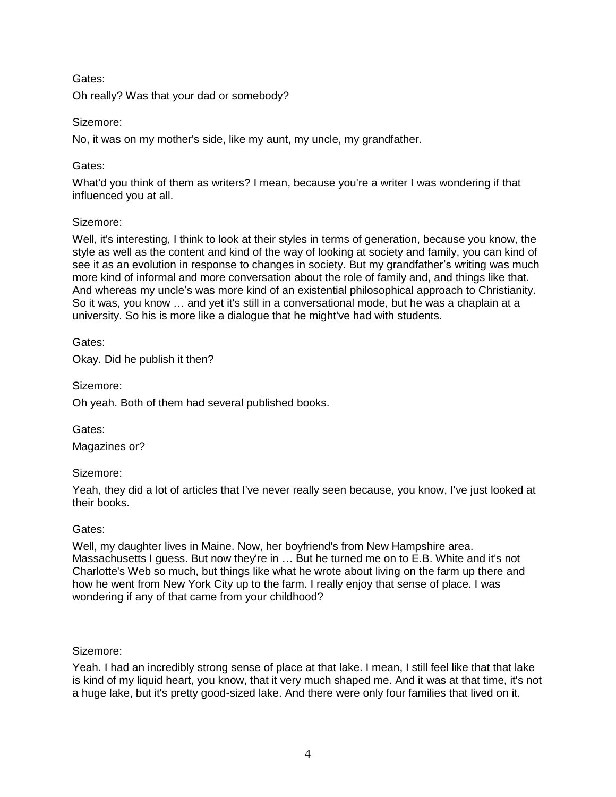Oh really? Was that your dad or somebody?

## Sizemore:

No, it was on my mother's side, like my aunt, my uncle, my grandfather.

## Gates:

What'd you think of them as writers? I mean, because you're a writer I was wondering if that influenced you at all.

## Sizemore:

Well, it's interesting, I think to look at their styles in terms of generation, because you know, the style as well as the content and kind of the way of looking at society and family, you can kind of see it as an evolution in response to changes in society. But my grandfather's writing was much more kind of informal and more conversation about the role of family and, and things like that. And whereas my uncle's was more kind of an existential philosophical approach to Christianity. So it was, you know … and yet it's still in a conversational mode, but he was a chaplain at a university. So his is more like a dialogue that he might've had with students.

Gates:

Okay. Did he publish it then?

Sizemore:

Oh yeah. Both of them had several published books.

Gates:

Magazines or?

## Sizemore:

Yeah, they did a lot of articles that I've never really seen because, you know, I've just looked at their books.

## Gates:

Well, my daughter lives in Maine. Now, her boyfriend's from New Hampshire area. Massachusetts I guess. But now they're in … But he turned me on to E.B. White and it's not Charlotte's Web so much, but things like what he wrote about living on the farm up there and how he went from New York City up to the farm. I really enjoy that sense of place. I was wondering if any of that came from your childhood?

## Sizemore:

Yeah. I had an incredibly strong sense of place at that lake. I mean, I still feel like that that lake is kind of my liquid heart, you know, that it very much shaped me. And it was at that time, it's not a huge lake, but it's pretty good-sized lake. And there were only four families that lived on it.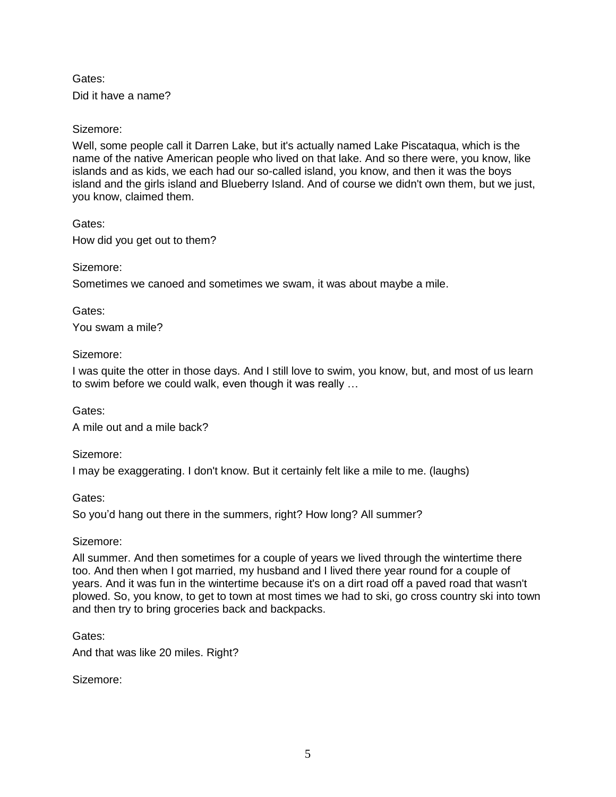Did it have a name?

## Sizemore:

Well, some people call it Darren Lake, but it's actually named Lake Piscataqua, which is the name of the native American people who lived on that lake. And so there were, you know, like islands and as kids, we each had our so-called island, you know, and then it was the boys island and the girls island and Blueberry Island. And of course we didn't own them, but we just, you know, claimed them.

Gates:

How did you get out to them?

Sizemore:

Sometimes we canoed and sometimes we swam, it was about maybe a mile.

Gates: You swam a mile?

### Sizemore:

I was quite the otter in those days. And I still love to swim, you know, but, and most of us learn to swim before we could walk, even though it was really …

Gates:

A mile out and a mile back?

Sizemore:

I may be exaggerating. I don't know. But it certainly felt like a mile to me. (laughs)

Gates:

So you'd hang out there in the summers, right? How long? All summer?

## Sizemore:

All summer. And then sometimes for a couple of years we lived through the wintertime there too. And then when I got married, my husband and I lived there year round for a couple of years. And it was fun in the wintertime because it's on a dirt road off a paved road that wasn't plowed. So, you know, to get to town at most times we had to ski, go cross country ski into town and then try to bring groceries back and backpacks.

Gates:

And that was like 20 miles. Right?

Sizemore: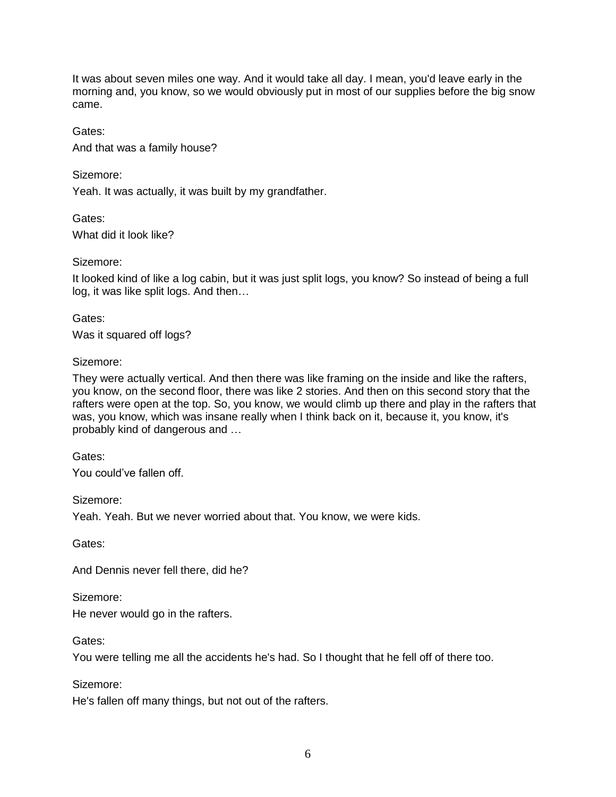It was about seven miles one way. And it would take all day. I mean, you'd leave early in the morning and, you know, so we would obviously put in most of our supplies before the big snow came.

Gates:

And that was a family house?

Sizemore:

Gates:

Yeah. It was actually, it was built by my grandfather.

What did it look like?

Sizemore:

It looked kind of like a log cabin, but it was just split logs, you know? So instead of being a full log, it was like split logs. And then…

Gates:

Was it squared off logs?

## Sizemore:

They were actually vertical. And then there was like framing on the inside and like the rafters, you know, on the second floor, there was like 2 stories. And then on this second story that the rafters were open at the top. So, you know, we would climb up there and play in the rafters that was, you know, which was insane really when I think back on it, because it, you know, it's probably kind of dangerous and …

Gates:

You could've fallen off.

Sizemore:

Yeah. Yeah. But we never worried about that. You know, we were kids.

Gates:

And Dennis never fell there, did he?

Sizemore:

He never would go in the rafters.

Gates:

You were telling me all the accidents he's had. So I thought that he fell off of there too.

Sizemore:

He's fallen off many things, but not out of the rafters.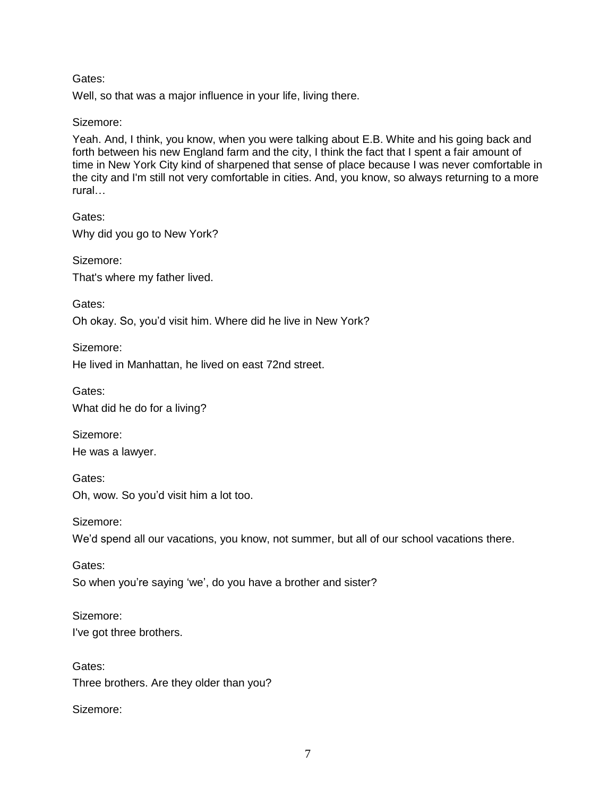Well, so that was a major influence in your life, living there.

### Sizemore:

Yeah. And, I think, you know, when you were talking about E.B. White and his going back and forth between his new England farm and the city, I think the fact that I spent a fair amount of time in New York City kind of sharpened that sense of place because I was never comfortable in the city and I'm still not very comfortable in cities. And, you know, so always returning to a more rural…

Gates: Why did you go to New York?

Sizemore: That's where my father lived.

Gates: Oh okay. So, you'd visit him. Where did he live in New York?

Sizemore: He lived in Manhattan, he lived on east 72nd street.

Gates: What did he do for a living?

Sizemore: He was a lawyer.

Gates: Oh, wow. So you'd visit him a lot too.

Sizemore: We'd spend all our vacations, you know, not summer, but all of our school vacations there.

Gates: So when you're saying 'we', do you have a brother and sister?

Sizemore: I've got three brothers.

Gates: Three brothers. Are they older than you?

Sizemore: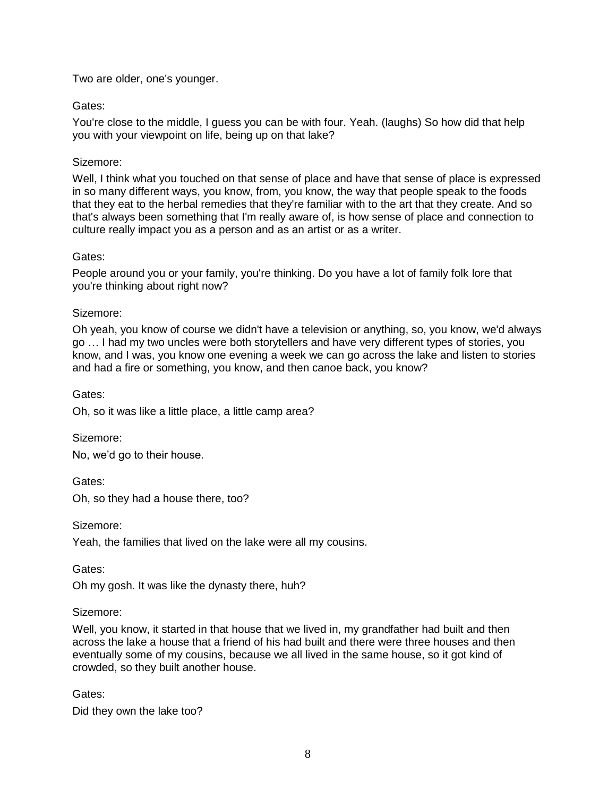## Two are older, one's younger.

## Gates:

You're close to the middle, I guess you can be with four. Yeah. (laughs) So how did that help you with your viewpoint on life, being up on that lake?

### Sizemore:

Well, I think what you touched on that sense of place and have that sense of place is expressed in so many different ways, you know, from, you know, the way that people speak to the foods that they eat to the herbal remedies that they're familiar with to the art that they create. And so that's always been something that I'm really aware of, is how sense of place and connection to culture really impact you as a person and as an artist or as a writer.

### Gates:

People around you or your family, you're thinking. Do you have a lot of family folk lore that you're thinking about right now?

### Sizemore:

Oh yeah, you know of course we didn't have a television or anything, so, you know, we'd always go … I had my two uncles were both storytellers and have very different types of stories, you know, and I was, you know one evening a week we can go across the lake and listen to stories and had a fire or something, you know, and then canoe back, you know?

Gates:

Oh, so it was like a little place, a little camp area?

Sizemore:

No, we'd go to their house.

Gates:

Oh, so they had a house there, too?

Sizemore:

Yeah, the families that lived on the lake were all my cousins.

Gates:

Oh my gosh. It was like the dynasty there, huh?

#### Sizemore:

Well, you know, it started in that house that we lived in, my grandfather had built and then across the lake a house that a friend of his had built and there were three houses and then eventually some of my cousins, because we all lived in the same house, so it got kind of crowded, so they built another house.

## Gates:

Did they own the lake too?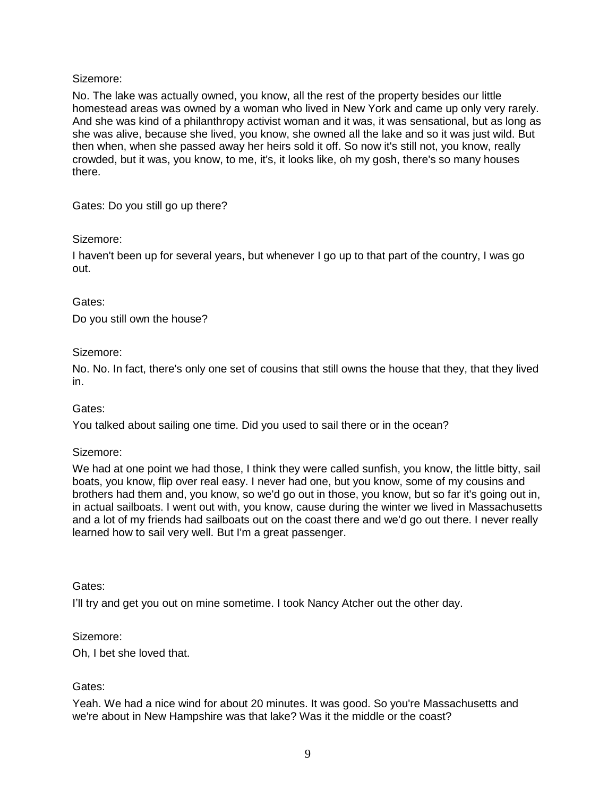No. The lake was actually owned, you know, all the rest of the property besides our little homestead areas was owned by a woman who lived in New York and came up only very rarely. And she was kind of a philanthropy activist woman and it was, it was sensational, but as long as she was alive, because she lived, you know, she owned all the lake and so it was just wild. But then when, when she passed away her heirs sold it off. So now it's still not, you know, really crowded, but it was, you know, to me, it's, it looks like, oh my gosh, there's so many houses there.

Gates: Do you still go up there?

## Sizemore:

I haven't been up for several years, but whenever I go up to that part of the country, I was go out.

## Gates:

Do you still own the house?

## Sizemore:

No. No. In fact, there's only one set of cousins that still owns the house that they, that they lived in.

## Gates:

You talked about sailing one time. Did you used to sail there or in the ocean?

## Sizemore:

We had at one point we had those, I think they were called sunfish, you know, the little bitty, sail boats, you know, flip over real easy. I never had one, but you know, some of my cousins and brothers had them and, you know, so we'd go out in those, you know, but so far it's going out in, in actual sailboats. I went out with, you know, cause during the winter we lived in Massachusetts and a lot of my friends had sailboats out on the coast there and we'd go out there. I never really learned how to sail very well. But I'm a great passenger.

## Gates:

I'll try and get you out on mine sometime. I took Nancy Atcher out the other day.

## Sizemore:

Oh, I bet she loved that.

# Gates:

Yeah. We had a nice wind for about 20 minutes. It was good. So you're Massachusetts and we're about in New Hampshire was that lake? Was it the middle or the coast?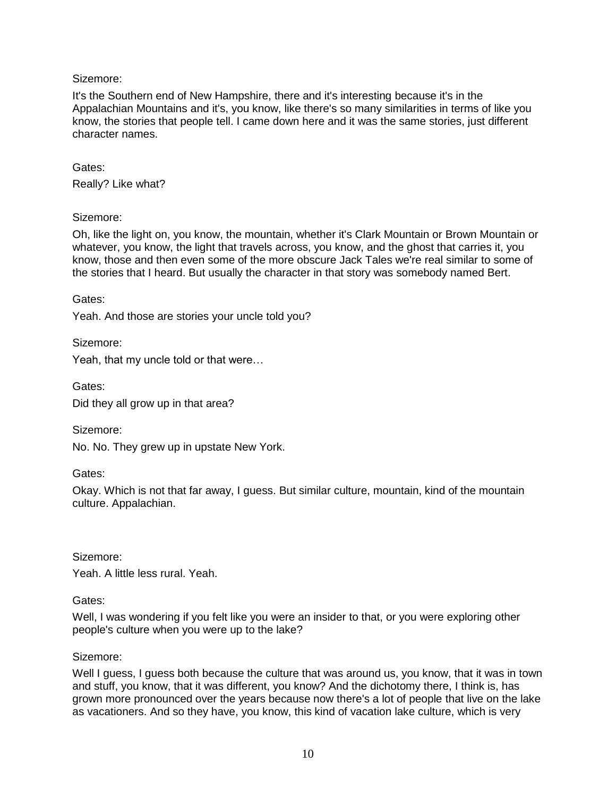It's the Southern end of New Hampshire, there and it's interesting because it's in the Appalachian Mountains and it's, you know, like there's so many similarities in terms of like you know, the stories that people tell. I came down here and it was the same stories, just different character names.

Gates: Really? Like what?

## Sizemore:

Oh, like the light on, you know, the mountain, whether it's Clark Mountain or Brown Mountain or whatever, you know, the light that travels across, you know, and the ghost that carries it, you know, those and then even some of the more obscure Jack Tales we're real similar to some of the stories that I heard. But usually the character in that story was somebody named Bert.

Gates:

Yeah. And those are stories your uncle told you?

Sizemore:

Yeah, that my uncle told or that were…

Gates: Did they all grow up in that area?

Sizemore:

No. No. They grew up in upstate New York.

Gates:

Okay. Which is not that far away, I guess. But similar culture, mountain, kind of the mountain culture. Appalachian.

Sizemore:

Yeah. A little less rural. Yeah.

## Gates:

Well, I was wondering if you felt like you were an insider to that, or you were exploring other people's culture when you were up to the lake?

## Sizemore:

Well I guess, I guess both because the culture that was around us, you know, that it was in town and stuff, you know, that it was different, you know? And the dichotomy there, I think is, has grown more pronounced over the years because now there's a lot of people that live on the lake as vacationers. And so they have, you know, this kind of vacation lake culture, which is very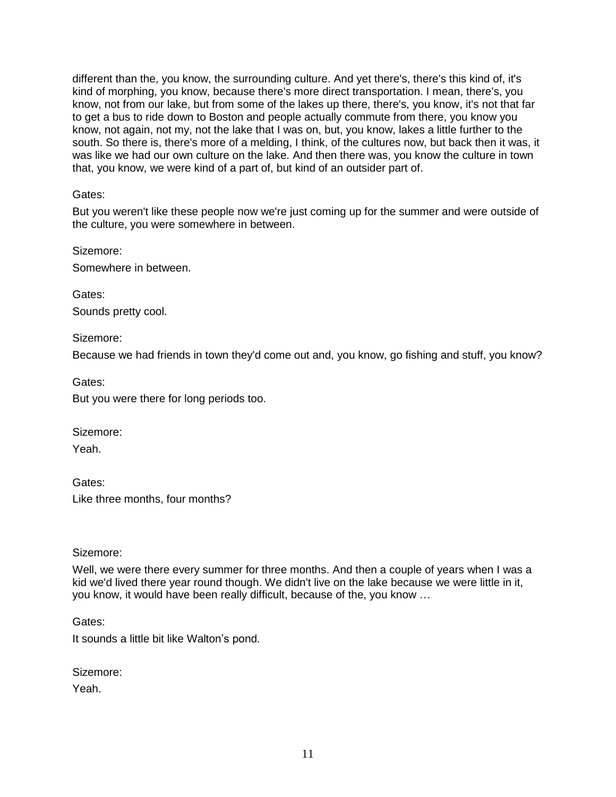different than the, you know, the surrounding culture. And yet there's, there's this kind of, it's kind of morphing, you know, because there's more direct transportation. I mean, there's, you know, not from our lake, but from some of the lakes up there, there's, you know, it's not that far to get a bus to ride down to Boston and people actually commute from there, you know you know, not again, not my, not the lake that I was on, but, you know, lakes a little further to the south. So there is, there's more of a melding, I think, of the cultures now, but back then it was, it was like we had our own culture on the lake. And then there was, you know the culture in town that, you know, we were kind of a part of, but kind of an outsider part of.

Gates:

But you weren't like these people now we're just coming up for the summer and were outside of the culture, you were somewhere in between.

Sizemore: Somewhere in between.

Gates: Sounds pretty cool.

Sizemore:

Because we had friends in town they'd come out and, you know, go fishing and stuff, you know?

Gates:

But you were there for long periods too.

Sizemore:

Yeah.

Gates: Like three months, four months?

Sizemore:

Well, we were there every summer for three months. And then a couple of years when I was a kid we'd lived there year round though. We didn't live on the lake because we were little in it, you know, it would have been really difficult, because of the, you know …

Gates:

It sounds a little bit like Walton's pond.

Sizemore:

Yeah.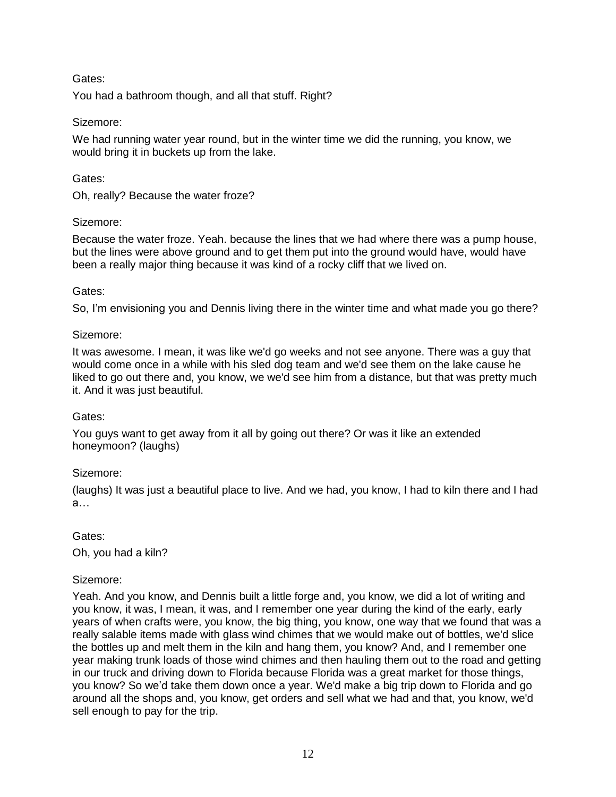You had a bathroom though, and all that stuff. Right?

## Sizemore:

We had running water year round, but in the winter time we did the running, you know, we would bring it in buckets up from the lake.

## Gates:

Oh, really? Because the water froze?

## Sizemore:

Because the water froze. Yeah. because the lines that we had where there was a pump house, but the lines were above ground and to get them put into the ground would have, would have been a really major thing because it was kind of a rocky cliff that we lived on.

## Gates:

So, I'm envisioning you and Dennis living there in the winter time and what made you go there?

## Sizemore:

It was awesome. I mean, it was like we'd go weeks and not see anyone. There was a guy that would come once in a while with his sled dog team and we'd see them on the lake cause he liked to go out there and, you know, we we'd see him from a distance, but that was pretty much it. And it was just beautiful.

## Gates:

You guys want to get away from it all by going out there? Or was it like an extended honeymoon? (laughs)

## Sizemore:

(laughs) It was just a beautiful place to live. And we had, you know, I had to kiln there and I had a…

Gates:

Oh, you had a kiln?

## Sizemore:

Yeah. And you know, and Dennis built a little forge and, you know, we did a lot of writing and you know, it was, I mean, it was, and I remember one year during the kind of the early, early years of when crafts were, you know, the big thing, you know, one way that we found that was a really salable items made with glass wind chimes that we would make out of bottles, we'd slice the bottles up and melt them in the kiln and hang them, you know? And, and I remember one year making trunk loads of those wind chimes and then hauling them out to the road and getting in our truck and driving down to Florida because Florida was a great market for those things, you know? So we'd take them down once a year. We'd make a big trip down to Florida and go around all the shops and, you know, get orders and sell what we had and that, you know, we'd sell enough to pay for the trip.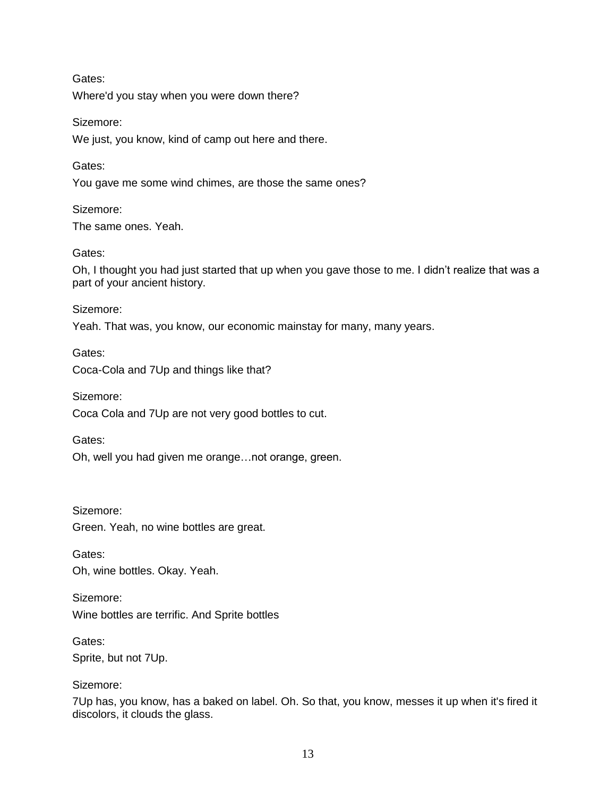Where'd you stay when you were down there?

Sizemore:

We just, you know, kind of camp out here and there.

Gates:

You gave me some wind chimes, are those the same ones?

Sizemore: The same ones. Yeah.

Gates:

Oh, I thought you had just started that up when you gave those to me. I didn't realize that was a part of your ancient history.

Sizemore:

Yeah. That was, you know, our economic mainstay for many, many years.

Gates: Coca-Cola and 7Up and things like that?

Sizemore:

Coca Cola and 7Up are not very good bottles to cut.

Gates:

Oh, well you had given me orange…not orange, green.

Sizemore: Green. Yeah, no wine bottles are great.

Gates: Oh, wine bottles. Okay. Yeah.

Sizemore: Wine bottles are terrific. And Sprite bottles

Gates: Sprite, but not 7Up.

Sizemore:

7Up has, you know, has a baked on label. Oh. So that, you know, messes it up when it's fired it discolors, it clouds the glass.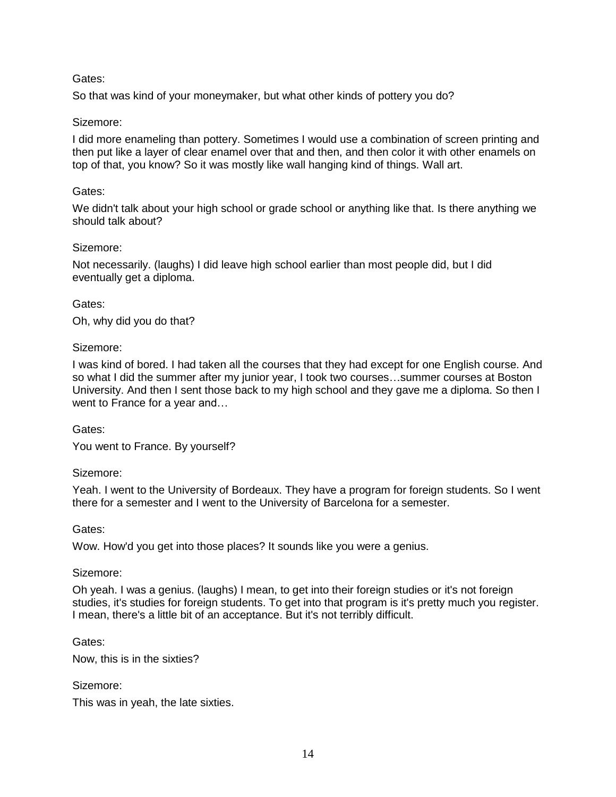So that was kind of your moneymaker, but what other kinds of pottery you do?

## Sizemore:

I did more enameling than pottery. Sometimes I would use a combination of screen printing and then put like a layer of clear enamel over that and then, and then color it with other enamels on top of that, you know? So it was mostly like wall hanging kind of things. Wall art.

### Gates:

We didn't talk about your high school or grade school or anything like that. Is there anything we should talk about?

### Sizemore:

Not necessarily. (laughs) I did leave high school earlier than most people did, but I did eventually get a diploma.

### Gates:

Oh, why did you do that?

### Sizemore:

I was kind of bored. I had taken all the courses that they had except for one English course. And so what I did the summer after my junior year, I took two courses…summer courses at Boston University. And then I sent those back to my high school and they gave me a diploma. So then I went to France for a year and…

#### Gates:

You went to France. By yourself?

## Sizemore:

Yeah. I went to the University of Bordeaux. They have a program for foreign students. So I went there for a semester and I went to the University of Barcelona for a semester.

Gates:

Wow. How'd you get into those places? It sounds like you were a genius.

## Sizemore:

Oh yeah. I was a genius. (laughs) I mean, to get into their foreign studies or it's not foreign studies, it's studies for foreign students. To get into that program is it's pretty much you register. I mean, there's a little bit of an acceptance. But it's not terribly difficult.

Gates:

Now, this is in the sixties?

Sizemore:

This was in yeah, the late sixties.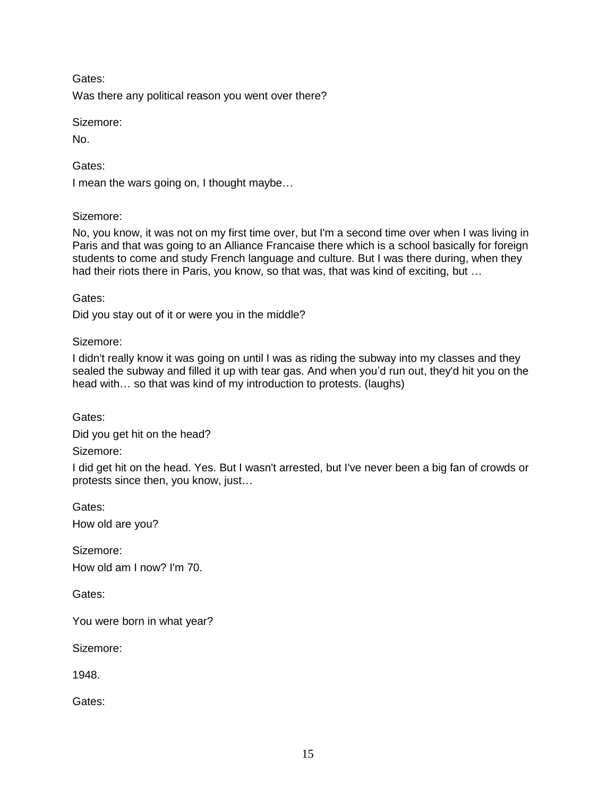Was there any political reason you went over there?

Sizemore:

No.

Gates:

I mean the wars going on, I thought maybe…

## Sizemore:

No, you know, it was not on my first time over, but I'm a second time over when I was living in Paris and that was going to an Alliance Francaise there which is a school basically for foreign students to come and study French language and culture. But I was there during, when they had their riots there in Paris, you know, so that was, that was kind of exciting, but ...

Gates:

Did you stay out of it or were you in the middle?

Sizemore:

I didn't really know it was going on until I was as riding the subway into my classes and they sealed the subway and filled it up with tear gas. And when you'd run out, they'd hit you on the head with… so that was kind of my introduction to protests. (laughs)

Gates:

Did you get hit on the head?

Sizemore:

I did get hit on the head. Yes. But I wasn't arrested, but I've never been a big fan of crowds or protests since then, you know, just…

Gates: How old are you?

Sizemore: How old am I now? I'm 70.

Gates:

You were born in what year?

Sizemore:

1948.

Gates: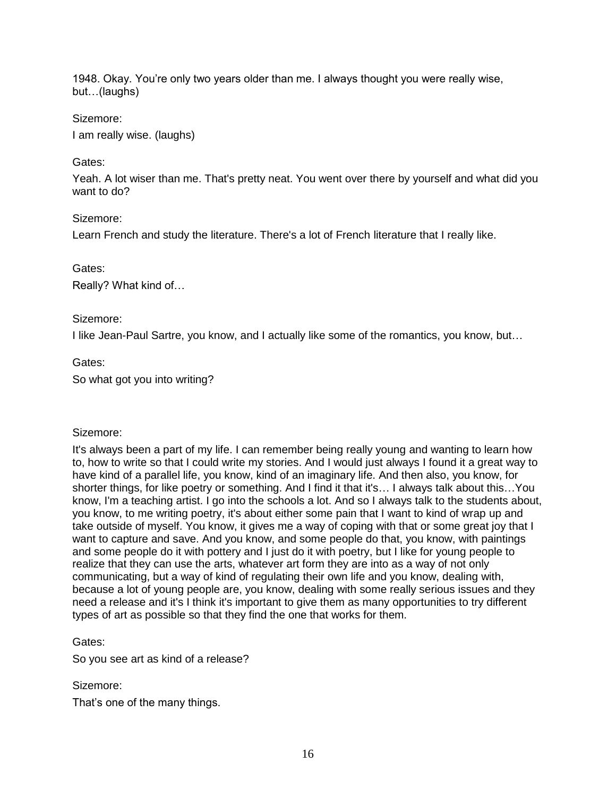1948. Okay. You're only two years older than me. I always thought you were really wise, but…(laughs)

## Sizemore:

I am really wise. (laughs)

## Gates:

Yeah. A lot wiser than me. That's pretty neat. You went over there by yourself and what did you want to do?

## Sizemore:

Learn French and study the literature. There's a lot of French literature that I really like.

## Gates:

Really? What kind of…

## Sizemore:

I like Jean-Paul Sartre, you know, and I actually like some of the romantics, you know, but…

# Gates:

So what got you into writing?

# Sizemore:

It's always been a part of my life. I can remember being really young and wanting to learn how to, how to write so that I could write my stories. And I would just always I found it a great way to have kind of a parallel life, you know, kind of an imaginary life. And then also, you know, for shorter things, for like poetry or something. And I find it that it's… I always talk about this…You know, I'm a teaching artist. I go into the schools a lot. And so I always talk to the students about, you know, to me writing poetry, it's about either some pain that I want to kind of wrap up and take outside of myself. You know, it gives me a way of coping with that or some great joy that I want to capture and save. And you know, and some people do that, you know, with paintings and some people do it with pottery and I just do it with poetry, but I like for young people to realize that they can use the arts, whatever art form they are into as a way of not only communicating, but a way of kind of regulating their own life and you know, dealing with, because a lot of young people are, you know, dealing with some really serious issues and they need a release and it's I think it's important to give them as many opportunities to try different types of art as possible so that they find the one that works for them.

# Gates:

So you see art as kind of a release?

## Sizemore:

That's one of the many things.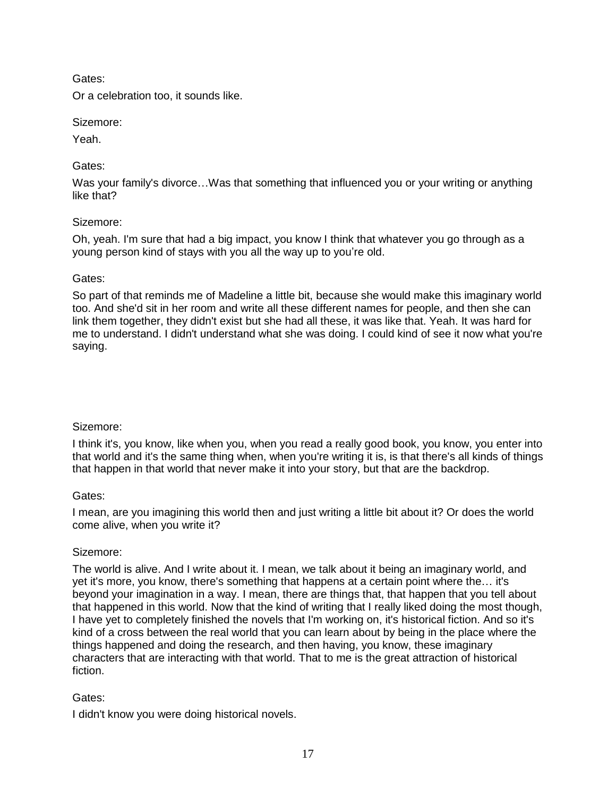Or a celebration too, it sounds like.

## Sizemore:

Yeah.

# Gates:

Was your family's divorce...Was that something that influenced you or your writing or anything like that?

# Sizemore:

Oh, yeah. I'm sure that had a big impact, you know I think that whatever you go through as a young person kind of stays with you all the way up to you're old.

## Gates:

So part of that reminds me of Madeline a little bit, because she would make this imaginary world too. And she'd sit in her room and write all these different names for people, and then she can link them together, they didn't exist but she had all these, it was like that. Yeah. It was hard for me to understand. I didn't understand what she was doing. I could kind of see it now what you're saying.

# Sizemore:

I think it's, you know, like when you, when you read a really good book, you know, you enter into that world and it's the same thing when, when you're writing it is, is that there's all kinds of things that happen in that world that never make it into your story, but that are the backdrop.

# Gates:

I mean, are you imagining this world then and just writing a little bit about it? Or does the world come alive, when you write it?

# Sizemore:

The world is alive. And I write about it. I mean, we talk about it being an imaginary world, and yet it's more, you know, there's something that happens at a certain point where the… it's beyond your imagination in a way. I mean, there are things that, that happen that you tell about that happened in this world. Now that the kind of writing that I really liked doing the most though, I have yet to completely finished the novels that I'm working on, it's historical fiction. And so it's kind of a cross between the real world that you can learn about by being in the place where the things happened and doing the research, and then having, you know, these imaginary characters that are interacting with that world. That to me is the great attraction of historical fiction.

# Gates:

I didn't know you were doing historical novels.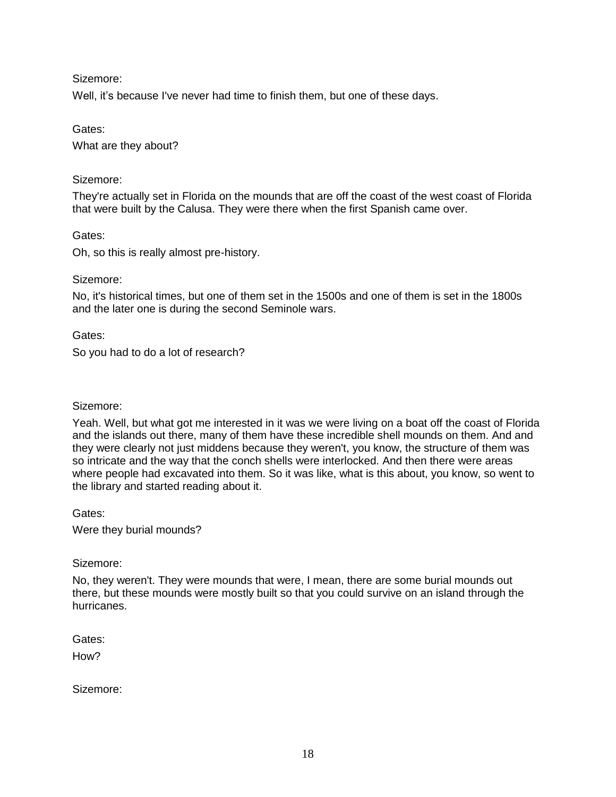Well, it's because I've never had time to finish them, but one of these days.

Gates:

What are they about?

## Sizemore:

They're actually set in Florida on the mounds that are off the coast of the west coast of Florida that were built by the Calusa. They were there when the first Spanish came over.

Gates:

Oh, so this is really almost pre-history.

### Sizemore:

No, it's historical times, but one of them set in the 1500s and one of them is set in the 1800s and the later one is during the second Seminole wars.

Gates:

So you had to do a lot of research?

## Sizemore:

Yeah. Well, but what got me interested in it was we were living on a boat off the coast of Florida and the islands out there, many of them have these incredible shell mounds on them. And and they were clearly not just middens because they weren't, you know, the structure of them was so intricate and the way that the conch shells were interlocked. And then there were areas where people had excavated into them. So it was like, what is this about, you know, so went to the library and started reading about it.

Gates:

Were they burial mounds?

Sizemore:

No, they weren't. They were mounds that were, I mean, there are some burial mounds out there, but these mounds were mostly built so that you could survive on an island through the hurricanes.

Gates:

How<sub>2</sub>

Sizemore: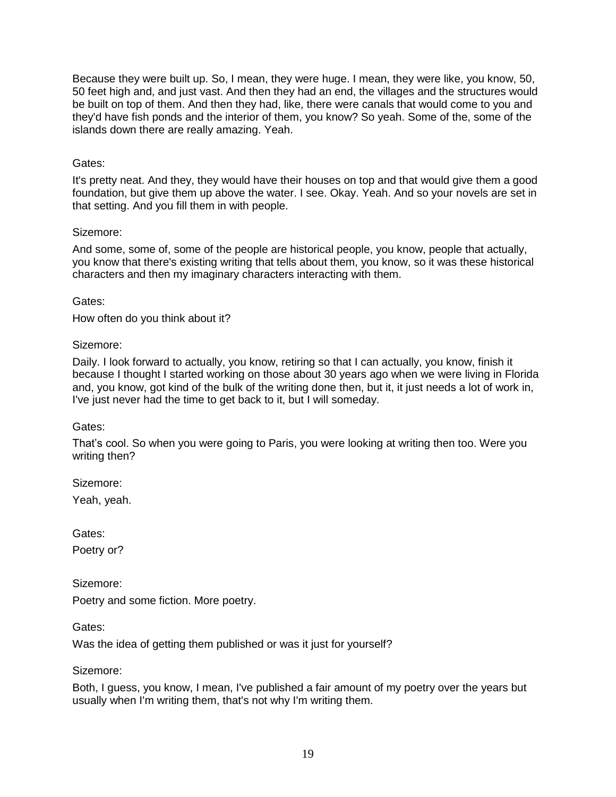Because they were built up. So, I mean, they were huge. I mean, they were like, you know, 50, 50 feet high and, and just vast. And then they had an end, the villages and the structures would be built on top of them. And then they had, like, there were canals that would come to you and they'd have fish ponds and the interior of them, you know? So yeah. Some of the, some of the islands down there are really amazing. Yeah.

## Gates:

It's pretty neat. And they, they would have their houses on top and that would give them a good foundation, but give them up above the water. I see. Okay. Yeah. And so your novels are set in that setting. And you fill them in with people.

## Sizemore:

And some, some of, some of the people are historical people, you know, people that actually, you know that there's existing writing that tells about them, you know, so it was these historical characters and then my imaginary characters interacting with them.

Gates:

How often do you think about it?

### Sizemore:

Daily. I look forward to actually, you know, retiring so that I can actually, you know, finish it because I thought I started working on those about 30 years ago when we were living in Florida and, you know, got kind of the bulk of the writing done then, but it, it just needs a lot of work in, I've just never had the time to get back to it, but I will someday.

## Gates:

That's cool. So when you were going to Paris, you were looking at writing then too. Were you writing then?

Sizemore:

Yeah, yeah.

Gates:

Poetry or?

Sizemore:

Poetry and some fiction. More poetry.

Gates:

Was the idea of getting them published or was it just for yourself?

Sizemore:

Both, I guess, you know, I mean, I've published a fair amount of my poetry over the years but usually when I'm writing them, that's not why I'm writing them.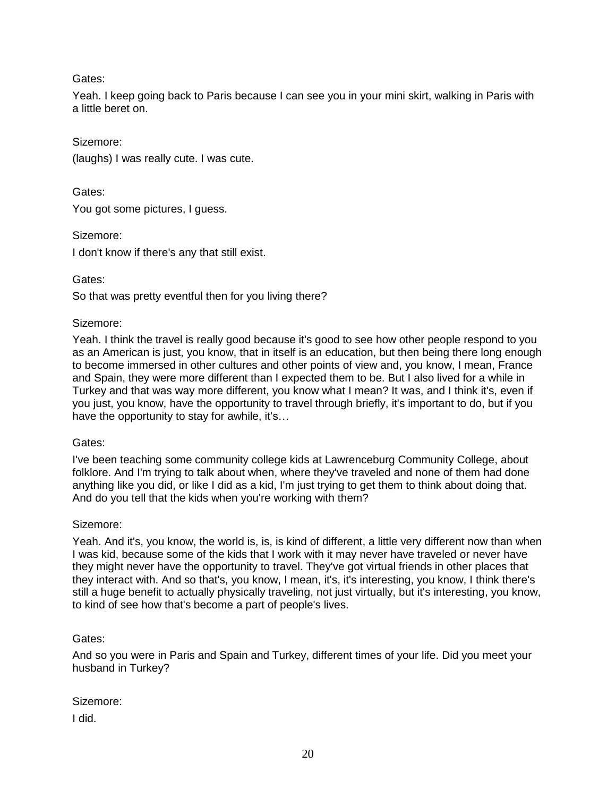Yeah. I keep going back to Paris because I can see you in your mini skirt, walking in Paris with a little beret on.

Sizemore:

(laughs) I was really cute. I was cute.

Gates:

You got some pictures, I guess.

Sizemore:

I don't know if there's any that still exist.

Gates:

So that was pretty eventful then for you living there?

## Sizemore:

Yeah. I think the travel is really good because it's good to see how other people respond to you as an American is just, you know, that in itself is an education, but then being there long enough to become immersed in other cultures and other points of view and, you know, I mean, France and Spain, they were more different than I expected them to be. But I also lived for a while in Turkey and that was way more different, you know what I mean? It was, and I think it's, even if you just, you know, have the opportunity to travel through briefly, it's important to do, but if you have the opportunity to stay for awhile, it's…

## Gates:

I've been teaching some community college kids at Lawrenceburg Community College, about folklore. And I'm trying to talk about when, where they've traveled and none of them had done anything like you did, or like I did as a kid, I'm just trying to get them to think about doing that. And do you tell that the kids when you're working with them?

## Sizemore:

Yeah. And it's, you know, the world is, is, is kind of different, a little very different now than when I was kid, because some of the kids that I work with it may never have traveled or never have they might never have the opportunity to travel. They've got virtual friends in other places that they interact with. And so that's, you know, I mean, it's, it's interesting, you know, I think there's still a huge benefit to actually physically traveling, not just virtually, but it's interesting, you know, to kind of see how that's become a part of people's lives.

# Gates:

And so you were in Paris and Spain and Turkey, different times of your life. Did you meet your husband in Turkey?

Sizemore:

I did.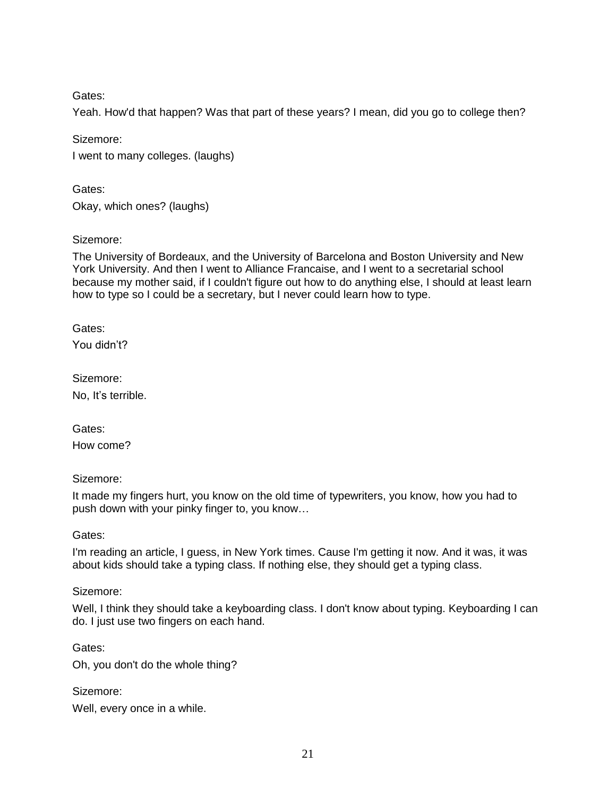Yeah. How'd that happen? Was that part of these years? I mean, did you go to college then?

Sizemore:

I went to many colleges. (laughs)

Gates: Okay, which ones? (laughs)

Sizemore:

The University of Bordeaux, and the University of Barcelona and Boston University and New York University. And then I went to Alliance Francaise, and I went to a secretarial school because my mother said, if I couldn't figure out how to do anything else, I should at least learn how to type so I could be a secretary, but I never could learn how to type.

Gates: You didn't?

Sizemore: No, It's terrible.

Gates: How come?

Sizemore:

It made my fingers hurt, you know on the old time of typewriters, you know, how you had to push down with your pinky finger to, you know…

Gates:

I'm reading an article, I guess, in New York times. Cause I'm getting it now. And it was, it was about kids should take a typing class. If nothing else, they should get a typing class.

Sizemore:

Well, I think they should take a keyboarding class. I don't know about typing. Keyboarding I can do. I just use two fingers on each hand.

Gates:

Oh, you don't do the whole thing?

Sizemore:

Well, every once in a while.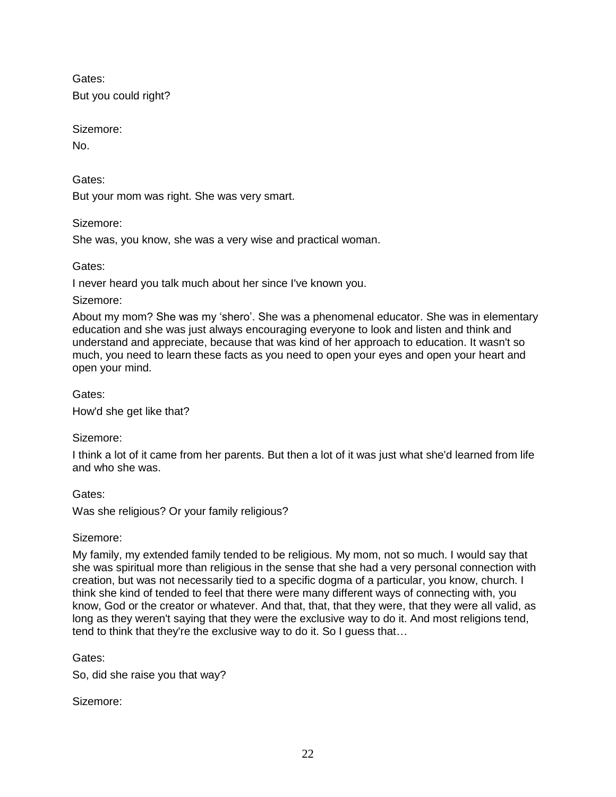Gates: But you could right?

Sizemore:

No.

Gates:

But your mom was right. She was very smart.

Sizemore:

She was, you know, she was a very wise and practical woman.

Gates:

I never heard you talk much about her since I've known you.

Sizemore:

About my mom? She was my 'shero'. She was a phenomenal educator. She was in elementary education and she was just always encouraging everyone to look and listen and think and understand and appreciate, because that was kind of her approach to education. It wasn't so much, you need to learn these facts as you need to open your eyes and open your heart and open your mind.

Gates:

How'd she get like that?

Sizemore:

I think a lot of it came from her parents. But then a lot of it was just what she'd learned from life and who she was.

Gates:

Was she religious? Or your family religious?

# Sizemore:

My family, my extended family tended to be religious. My mom, not so much. I would say that she was spiritual more than religious in the sense that she had a very personal connection with creation, but was not necessarily tied to a specific dogma of a particular, you know, church. I think she kind of tended to feel that there were many different ways of connecting with, you know, God or the creator or whatever. And that, that, that they were, that they were all valid, as long as they weren't saying that they were the exclusive way to do it. And most religions tend, tend to think that they're the exclusive way to do it. So I guess that…

Gates:

So, did she raise you that way?

Sizemore: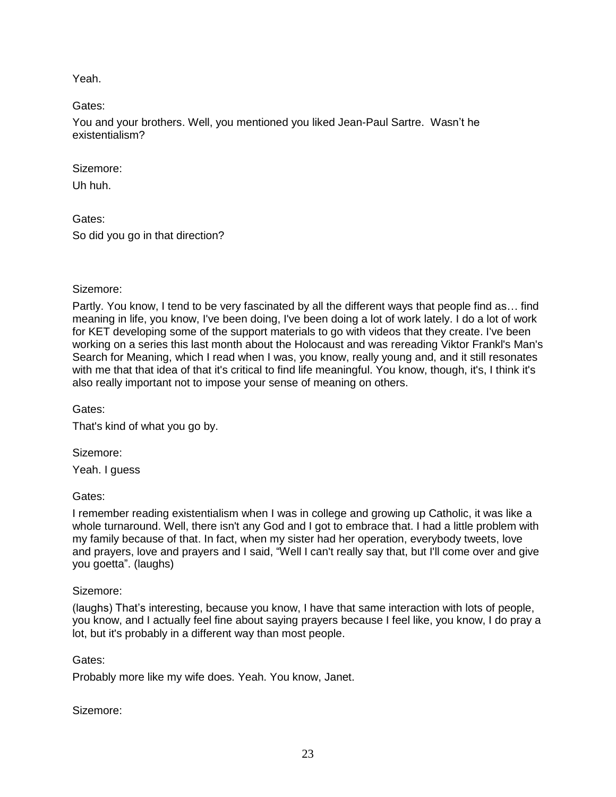Yeah.

Gates:

You and your brothers. Well, you mentioned you liked Jean-Paul Sartre. Wasn't he existentialism?

Sizemore:

Uh huh.

Gates: So did you go in that direction?

## Sizemore:

Partly. You know, I tend to be very fascinated by all the different ways that people find as… find meaning in life, you know, I've been doing, I've been doing a lot of work lately. I do a lot of work for KET developing some of the support materials to go with videos that they create. I've been working on a series this last month about the Holocaust and was rereading Viktor Frankl's Man's Search for Meaning, which I read when I was, you know, really young and, and it still resonates with me that that idea of that it's critical to find life meaningful. You know, though, it's, I think it's also really important not to impose your sense of meaning on others.

Gates:

That's kind of what you go by.

Sizemore:

Yeah. I guess

Gates:

I remember reading existentialism when I was in college and growing up Catholic, it was like a whole turnaround. Well, there isn't any God and I got to embrace that. I had a little problem with my family because of that. In fact, when my sister had her operation, everybody tweets, love and prayers, love and prayers and I said, "Well I can't really say that, but I'll come over and give you goetta". (laughs)

## Sizemore:

(laughs) That's interesting, because you know, I have that same interaction with lots of people, you know, and I actually feel fine about saying prayers because I feel like, you know, I do pray a lot, but it's probably in a different way than most people.

## Gates:

Probably more like my wife does. Yeah. You know, Janet.

Sizemore: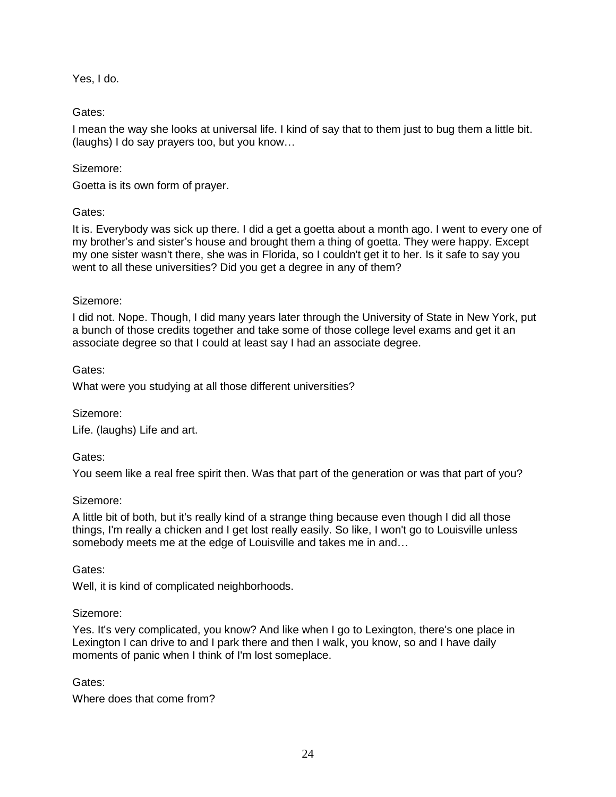Yes, I do.

## Gates:

I mean the way she looks at universal life. I kind of say that to them just to bug them a little bit. (laughs) I do say prayers too, but you know…

## Sizemore:

Goetta is its own form of prayer.

## Gates:

It is. Everybody was sick up there. I did a get a goetta about a month ago. I went to every one of my brother's and sister's house and brought them a thing of goetta. They were happy. Except my one sister wasn't there, she was in Florida, so I couldn't get it to her. Is it safe to say you went to all these universities? Did you get a degree in any of them?

## Sizemore:

I did not. Nope. Though, I did many years later through the University of State in New York, put a bunch of those credits together and take some of those college level exams and get it an associate degree so that I could at least say I had an associate degree.

## Gates:

What were you studying at all those different universities?

## Sizemore:

Life. (laughs) Life and art.

## Gates:

You seem like a real free spirit then. Was that part of the generation or was that part of you?

## Sizemore:

A little bit of both, but it's really kind of a strange thing because even though I did all those things, I'm really a chicken and I get lost really easily. So like, I won't go to Louisville unless somebody meets me at the edge of Louisville and takes me in and…

## Gates:

Well, it is kind of complicated neighborhoods.

## Sizemore:

Yes. It's very complicated, you know? And like when I go to Lexington, there's one place in Lexington I can drive to and I park there and then I walk, you know, so and I have daily moments of panic when I think of I'm lost someplace.

## Gates:

Where does that come from?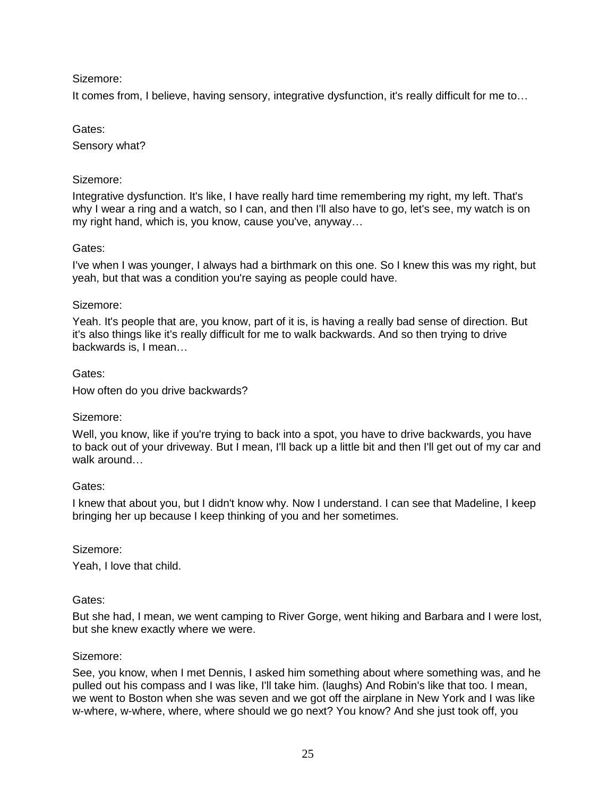It comes from, I believe, having sensory, integrative dysfunction, it's really difficult for me to…

## Gates:

Sensory what?

## Sizemore:

Integrative dysfunction. It's like, I have really hard time remembering my right, my left. That's why I wear a ring and a watch, so I can, and then I'll also have to go, let's see, my watch is on my right hand, which is, you know, cause you've, anyway…

## Gates:

I've when I was younger, I always had a birthmark on this one. So I knew this was my right, but yeah, but that was a condition you're saying as people could have.

### Sizemore:

Yeah. It's people that are, you know, part of it is, is having a really bad sense of direction. But it's also things like it's really difficult for me to walk backwards. And so then trying to drive backwards is, I mean…

### Gates:

How often do you drive backwards?

## Sizemore:

Well, you know, like if you're trying to back into a spot, you have to drive backwards, you have to back out of your driveway. But I mean, I'll back up a little bit and then I'll get out of my car and walk around…

## Gates:

I knew that about you, but I didn't know why. Now I understand. I can see that Madeline, I keep bringing her up because I keep thinking of you and her sometimes.

#### Sizemore:

Yeah, I love that child.

#### Gates:

But she had, I mean, we went camping to River Gorge, went hiking and Barbara and I were lost, but she knew exactly where we were.

#### Sizemore:

See, you know, when I met Dennis, I asked him something about where something was, and he pulled out his compass and I was like, I'll take him. (laughs) And Robin's like that too. I mean, we went to Boston when she was seven and we got off the airplane in New York and I was like w-where, w-where, where, where should we go next? You know? And she just took off, you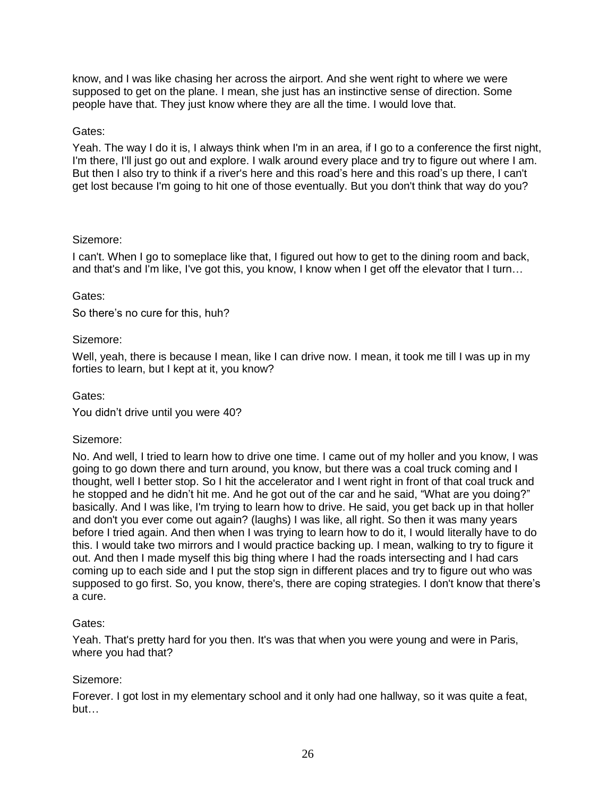know, and I was like chasing her across the airport. And she went right to where we were supposed to get on the plane. I mean, she just has an instinctive sense of direction. Some people have that. They just know where they are all the time. I would love that.

## Gates:

Yeah. The way I do it is, I always think when I'm in an area, if I go to a conference the first night, I'm there, I'll just go out and explore. I walk around every place and try to figure out where I am. But then I also try to think if a river's here and this road's here and this road's up there, I can't get lost because I'm going to hit one of those eventually. But you don't think that way do you?

## Sizemore:

I can't. When I go to someplace like that, I figured out how to get to the dining room and back, and that's and I'm like, I've got this, you know, I know when I get off the elevator that I turn…

## Gates:

So there's no cure for this, huh?

## Sizemore:

Well, yeah, there is because I mean, like I can drive now. I mean, it took me till I was up in my forties to learn, but I kept at it, you know?

## Gates:

You didn't drive until you were 40?

## Sizemore:

No. And well, I tried to learn how to drive one time. I came out of my holler and you know, I was going to go down there and turn around, you know, but there was a coal truck coming and I thought, well I better stop. So I hit the accelerator and I went right in front of that coal truck and he stopped and he didn't hit me. And he got out of the car and he said, "What are you doing?" basically. And I was like, I'm trying to learn how to drive. He said, you get back up in that holler and don't you ever come out again? (laughs) I was like, all right. So then it was many years before I tried again. And then when I was trying to learn how to do it, I would literally have to do this. I would take two mirrors and I would practice backing up. I mean, walking to try to figure it out. And then I made myself this big thing where I had the roads intersecting and I had cars coming up to each side and I put the stop sign in different places and try to figure out who was supposed to go first. So, you know, there's, there are coping strategies. I don't know that there's a cure.

## Gates:

Yeah. That's pretty hard for you then. It's was that when you were young and were in Paris, where you had that?

## Sizemore:

Forever. I got lost in my elementary school and it only had one hallway, so it was quite a feat, but…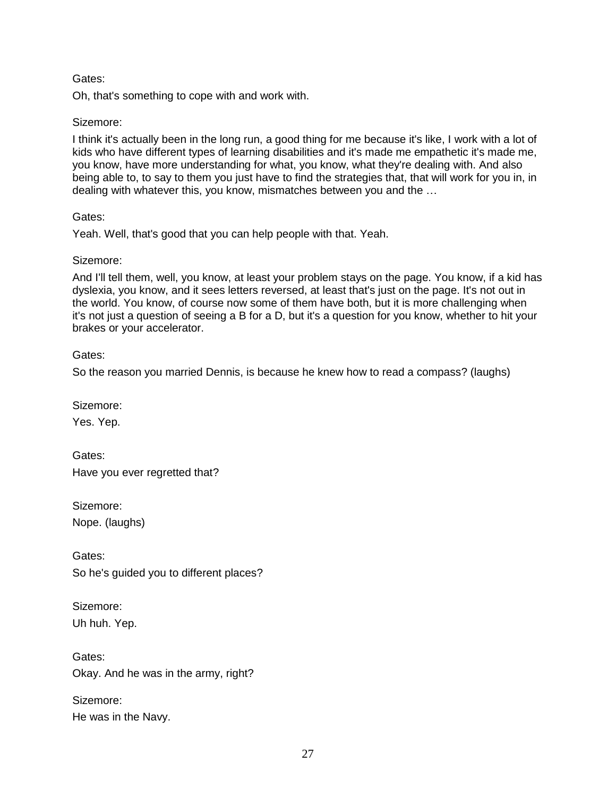Oh, that's something to cope with and work with.

### Sizemore:

I think it's actually been in the long run, a good thing for me because it's like, I work with a lot of kids who have different types of learning disabilities and it's made me empathetic it's made me, you know, have more understanding for what, you know, what they're dealing with. And also being able to, to say to them you just have to find the strategies that, that will work for you in, in dealing with whatever this, you know, mismatches between you and the …

### Gates:

Yeah. Well, that's good that you can help people with that. Yeah.

### Sizemore:

And I'll tell them, well, you know, at least your problem stays on the page. You know, if a kid has dyslexia, you know, and it sees letters reversed, at least that's just on the page. It's not out in the world. You know, of course now some of them have both, but it is more challenging when it's not just a question of seeing a B for a D, but it's a question for you know, whether to hit your brakes or your accelerator.

Gates:

So the reason you married Dennis, is because he knew how to read a compass? (laughs)

Sizemore:

Yes. Yep.

Gates: Have you ever regretted that?

Sizemore: Nope. (laughs)

Gates: So he's guided you to different places?

Sizemore: Uh huh. Yep.

Gates: Okay. And he was in the army, right?

Sizemore: He was in the Navy.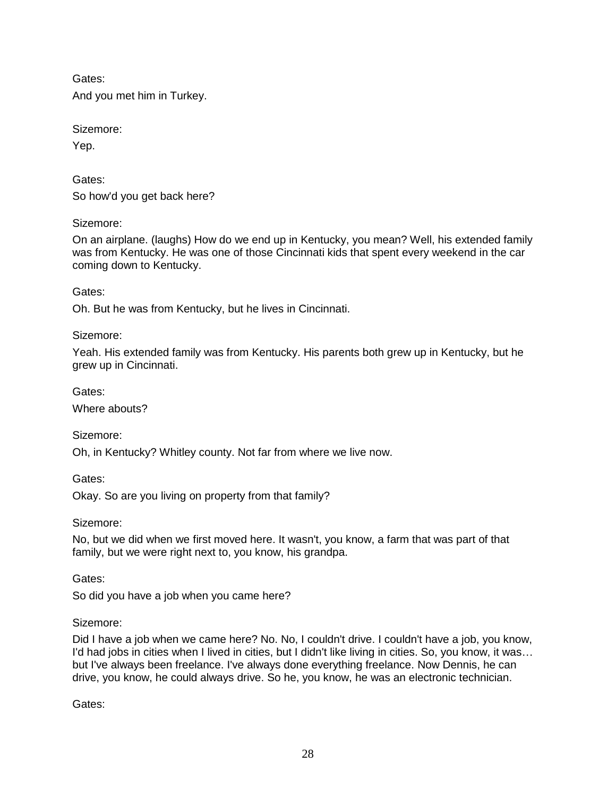Gates: And you met him in Turkey.

Sizemore:

Yep.

Gates: So how'd you get back here?

Sizemore:

On an airplane. (laughs) How do we end up in Kentucky, you mean? Well, his extended family was from Kentucky. He was one of those Cincinnati kids that spent every weekend in the car coming down to Kentucky.

Gates:

Oh. But he was from Kentucky, but he lives in Cincinnati.

Sizemore:

Yeah. His extended family was from Kentucky. His parents both grew up in Kentucky, but he grew up in Cincinnati.

Gates:

Where abouts?

Sizemore:

Oh, in Kentucky? Whitley county. Not far from where we live now.

Gates:

Okay. So are you living on property from that family?

Sizemore:

No, but we did when we first moved here. It wasn't, you know, a farm that was part of that family, but we were right next to, you know, his grandpa.

Gates:

So did you have a job when you came here?

Sizemore:

Did I have a job when we came here? No. No, I couldn't drive. I couldn't have a job, you know, I'd had jobs in cities when I lived in cities, but I didn't like living in cities. So, you know, it was... but I've always been freelance. I've always done everything freelance. Now Dennis, he can drive, you know, he could always drive. So he, you know, he was an electronic technician.

Gates: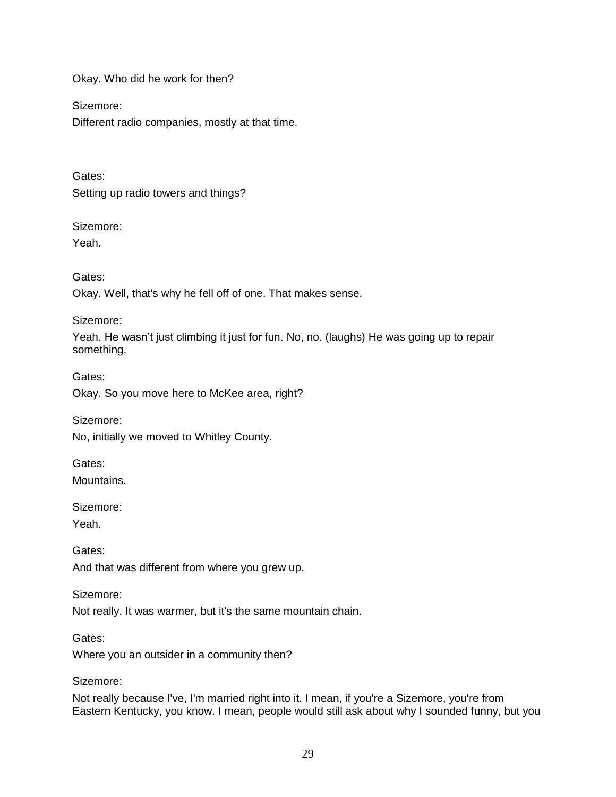Okay. Who did he work for then?

Sizemore:

Different radio companies, mostly at that time.

Gates: Setting up radio towers and things?

## Sizemore:

Yeah.

Gates:

Okay. Well, that's why he fell off of one. That makes sense.

Sizemore:

Yeah. He wasn't just climbing it just for fun. No, no. (laughs) He was going up to repair something.

Gates: Okay. So you move here to McKee area, right?

Sizemore:

No, initially we moved to Whitley County.

Gates:

Mountains.

Sizemore:

Yeah.

Gates: And that was different from where you grew up.

Sizemore:

Not really. It was warmer, but it's the same mountain chain.

Where you an outsider in a community then?

Sizemore:

Gates:

Not really because I've, I'm married right into it. I mean, if you're a Sizemore, you're from Eastern Kentucky, you know. I mean, people would still ask about why I sounded funny, but you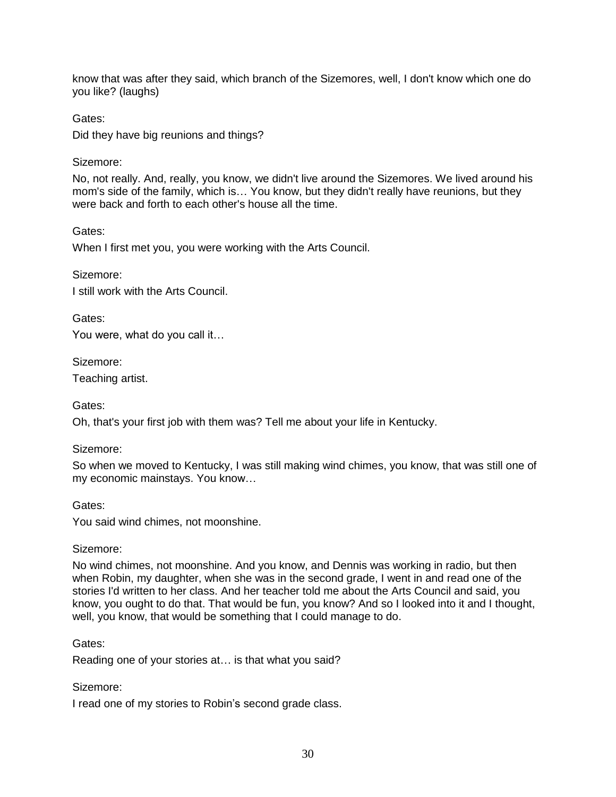know that was after they said, which branch of the Sizemores, well, I don't know which one do you like? (laughs)

Gates:

Did they have big reunions and things?

## Sizemore:

No, not really. And, really, you know, we didn't live around the Sizemores. We lived around his mom's side of the family, which is… You know, but they didn't really have reunions, but they were back and forth to each other's house all the time.

## Gates:

When I first met you, you were working with the Arts Council.

## Sizemore:

I still work with the Arts Council.

Gates:

You were, what do you call it…

Sizemore:

Teaching artist.

Gates:

Oh, that's your first job with them was? Tell me about your life in Kentucky.

# Sizemore:

So when we moved to Kentucky, I was still making wind chimes, you know, that was still one of my economic mainstays. You know…

# Gates:

You said wind chimes, not moonshine.

# Sizemore:

No wind chimes, not moonshine. And you know, and Dennis was working in radio, but then when Robin, my daughter, when she was in the second grade, I went in and read one of the stories I'd written to her class. And her teacher told me about the Arts Council and said, you know, you ought to do that. That would be fun, you know? And so I looked into it and I thought, well, you know, that would be something that I could manage to do.

# Gates:

Reading one of your stories at… is that what you said?

## Sizemore:

I read one of my stories to Robin's second grade class.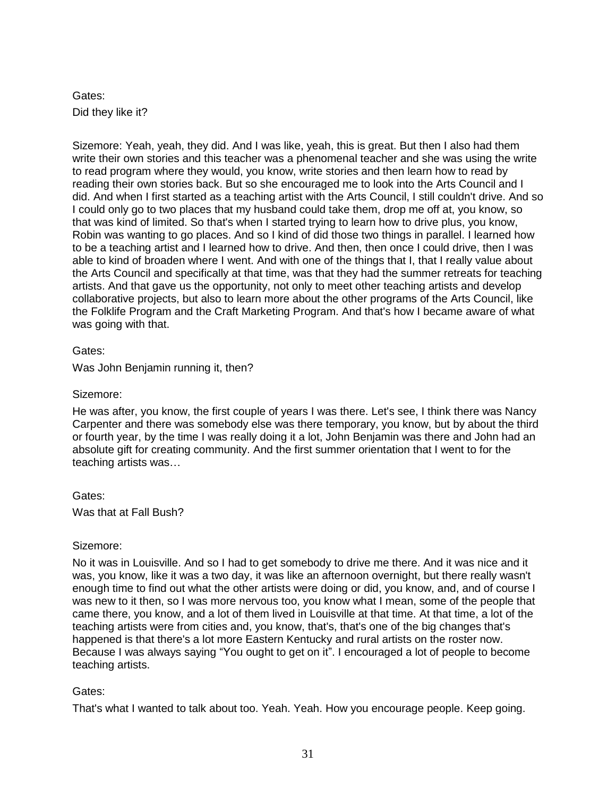# Gates: Did they like it?

Sizemore: Yeah, yeah, they did. And I was like, yeah, this is great. But then I also had them write their own stories and this teacher was a phenomenal teacher and she was using the write to read program where they would, you know, write stories and then learn how to read by reading their own stories back. But so she encouraged me to look into the Arts Council and I did. And when I first started as a teaching artist with the Arts Council, I still couldn't drive. And so I could only go to two places that my husband could take them, drop me off at, you know, so that was kind of limited. So that's when I started trying to learn how to drive plus, you know, Robin was wanting to go places. And so I kind of did those two things in parallel. I learned how to be a teaching artist and I learned how to drive. And then, then once I could drive, then I was able to kind of broaden where I went. And with one of the things that I, that I really value about the Arts Council and specifically at that time, was that they had the summer retreats for teaching artists. And that gave us the opportunity, not only to meet other teaching artists and develop collaborative projects, but also to learn more about the other programs of the Arts Council, like the Folklife Program and the Craft Marketing Program. And that's how I became aware of what was going with that.

## Gates:

Was John Benjamin running it, then?

## Sizemore:

He was after, you know, the first couple of years I was there. Let's see, I think there was Nancy Carpenter and there was somebody else was there temporary, you know, but by about the third or fourth year, by the time I was really doing it a lot, John Benjamin was there and John had an absolute gift for creating community. And the first summer orientation that I went to for the teaching artists was…

Gates: Was that at Fall Bush?

## Sizemore:

No it was in Louisville. And so I had to get somebody to drive me there. And it was nice and it was, you know, like it was a two day, it was like an afternoon overnight, but there really wasn't enough time to find out what the other artists were doing or did, you know, and, and of course I was new to it then, so I was more nervous too, you know what I mean, some of the people that came there, you know, and a lot of them lived in Louisville at that time. At that time, a lot of the teaching artists were from cities and, you know, that's, that's one of the big changes that's happened is that there's a lot more Eastern Kentucky and rural artists on the roster now. Because I was always saying "You ought to get on it". I encouraged a lot of people to become teaching artists.

# Gates:

That's what I wanted to talk about too. Yeah. Yeah. How you encourage people. Keep going.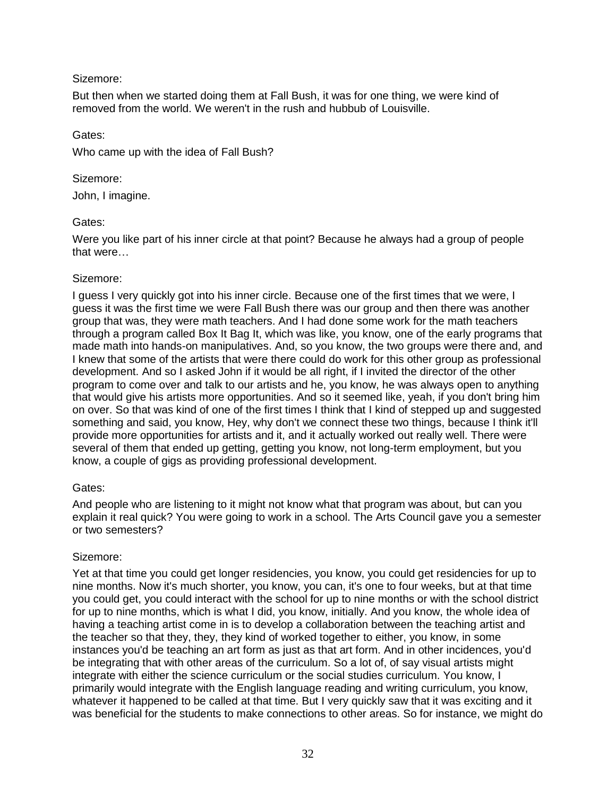But then when we started doing them at Fall Bush, it was for one thing, we were kind of removed from the world. We weren't in the rush and hubbub of Louisville.

### Gates:

Who came up with the idea of Fall Bush?

### Sizemore:

John, I imagine.

## Gates:

Were you like part of his inner circle at that point? Because he always had a group of people that were…

## Sizemore:

I guess I very quickly got into his inner circle. Because one of the first times that we were, I guess it was the first time we were Fall Bush there was our group and then there was another group that was, they were math teachers. And I had done some work for the math teachers through a program called Box It Bag It, which was like, you know, one of the early programs that made math into hands-on manipulatives. And, so you know, the two groups were there and, and I knew that some of the artists that were there could do work for this other group as professional development. And so I asked John if it would be all right, if I invited the director of the other program to come over and talk to our artists and he, you know, he was always open to anything that would give his artists more opportunities. And so it seemed like, yeah, if you don't bring him on over. So that was kind of one of the first times I think that I kind of stepped up and suggested something and said, you know, Hey, why don't we connect these two things, because I think it'll provide more opportunities for artists and it, and it actually worked out really well. There were several of them that ended up getting, getting you know, not long-term employment, but you know, a couple of gigs as providing professional development.

## Gates:

And people who are listening to it might not know what that program was about, but can you explain it real quick? You were going to work in a school. The Arts Council gave you a semester or two semesters?

## Sizemore:

Yet at that time you could get longer residencies, you know, you could get residencies for up to nine months. Now it's much shorter, you know, you can, it's one to four weeks, but at that time you could get, you could interact with the school for up to nine months or with the school district for up to nine months, which is what I did, you know, initially. And you know, the whole idea of having a teaching artist come in is to develop a collaboration between the teaching artist and the teacher so that they, they, they kind of worked together to either, you know, in some instances you'd be teaching an art form as just as that art form. And in other incidences, you'd be integrating that with other areas of the curriculum. So a lot of, of say visual artists might integrate with either the science curriculum or the social studies curriculum. You know, I primarily would integrate with the English language reading and writing curriculum, you know, whatever it happened to be called at that time. But I very quickly saw that it was exciting and it was beneficial for the students to make connections to other areas. So for instance, we might do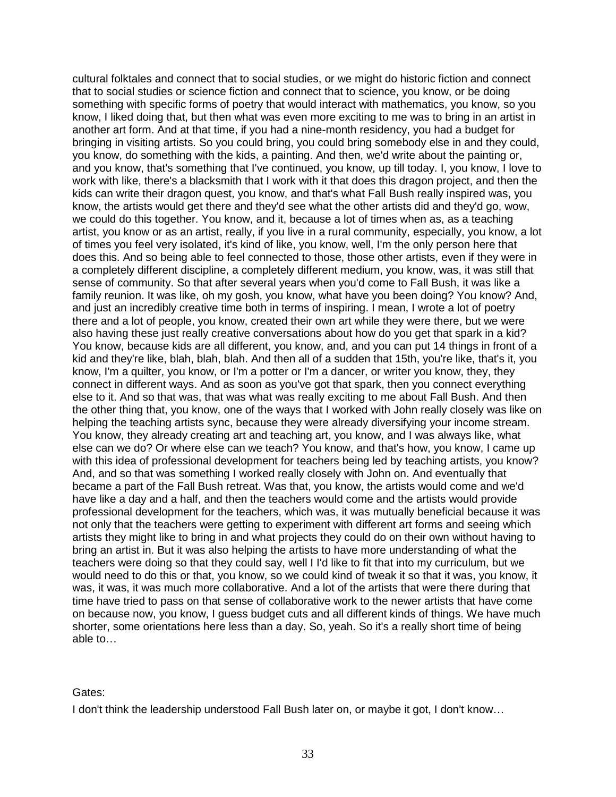cultural folktales and connect that to social studies, or we might do historic fiction and connect that to social studies or science fiction and connect that to science, you know, or be doing something with specific forms of poetry that would interact with mathematics, you know, so you know, I liked doing that, but then what was even more exciting to me was to bring in an artist in another art form. And at that time, if you had a nine-month residency, you had a budget for bringing in visiting artists. So you could bring, you could bring somebody else in and they could, you know, do something with the kids, a painting. And then, we'd write about the painting or, and you know, that's something that I've continued, you know, up till today. I, you know, I love to work with like, there's a blacksmith that I work with it that does this dragon project, and then the kids can write their dragon quest, you know, and that's what Fall Bush really inspired was, you know, the artists would get there and they'd see what the other artists did and they'd go, wow, we could do this together. You know, and it, because a lot of times when as, as a teaching artist, you know or as an artist, really, if you live in a rural community, especially, you know, a lot of times you feel very isolated, it's kind of like, you know, well, I'm the only person here that does this. And so being able to feel connected to those, those other artists, even if they were in a completely different discipline, a completely different medium, you know, was, it was still that sense of community. So that after several years when you'd come to Fall Bush, it was like a family reunion. It was like, oh my gosh, you know, what have you been doing? You know? And, and just an incredibly creative time both in terms of inspiring. I mean, I wrote a lot of poetry there and a lot of people, you know, created their own art while they were there, but we were also having these just really creative conversations about how do you get that spark in a kid? You know, because kids are all different, you know, and, and you can put 14 things in front of a kid and they're like, blah, blah, blah. And then all of a sudden that 15th, you're like, that's it, you know, I'm a quilter, you know, or I'm a potter or I'm a dancer, or writer you know, they, they connect in different ways. And as soon as you've got that spark, then you connect everything else to it. And so that was, that was what was really exciting to me about Fall Bush. And then the other thing that, you know, one of the ways that I worked with John really closely was like on helping the teaching artists sync, because they were already diversifying your income stream. You know, they already creating art and teaching art, you know, and I was always like, what else can we do? Or where else can we teach? You know, and that's how, you know, I came up with this idea of professional development for teachers being led by teaching artists, you know? And, and so that was something I worked really closely with John on. And eventually that became a part of the Fall Bush retreat. Was that, you know, the artists would come and we'd have like a day and a half, and then the teachers would come and the artists would provide professional development for the teachers, which was, it was mutually beneficial because it was not only that the teachers were getting to experiment with different art forms and seeing which artists they might like to bring in and what projects they could do on their own without having to bring an artist in. But it was also helping the artists to have more understanding of what the teachers were doing so that they could say, well I I'd like to fit that into my curriculum, but we would need to do this or that, you know, so we could kind of tweak it so that it was, you know, it was, it was, it was much more collaborative. And a lot of the artists that were there during that time have tried to pass on that sense of collaborative work to the newer artists that have come on because now, you know, I guess budget cuts and all different kinds of things. We have much shorter, some orientations here less than a day. So, yeah. So it's a really short time of being able to…

#### Gates:

I don't think the leadership understood Fall Bush later on, or maybe it got, I don't know…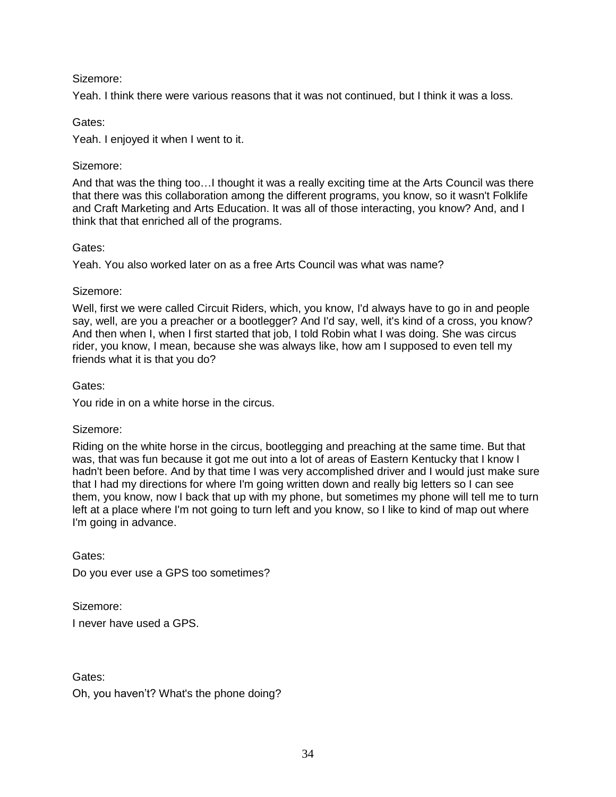Yeah. I think there were various reasons that it was not continued, but I think it was a loss.

### Gates:

Yeah. I enjoyed it when I went to it.

### Sizemore:

And that was the thing too…I thought it was a really exciting time at the Arts Council was there that there was this collaboration among the different programs, you know, so it wasn't Folklife and Craft Marketing and Arts Education. It was all of those interacting, you know? And, and I think that that enriched all of the programs.

### Gates:

Yeah. You also worked later on as a free Arts Council was what was name?

### Sizemore:

Well, first we were called Circuit Riders, which, you know, I'd always have to go in and people say, well, are you a preacher or a bootlegger? And I'd say, well, it's kind of a cross, you know? And then when I, when I first started that job, I told Robin what I was doing. She was circus rider, you know, I mean, because she was always like, how am I supposed to even tell my friends what it is that you do?

### Gates:

You ride in on a white horse in the circus.

## Sizemore:

Riding on the white horse in the circus, bootlegging and preaching at the same time. But that was, that was fun because it got me out into a lot of areas of Eastern Kentucky that I know I hadn't been before. And by that time I was very accomplished driver and I would just make sure that I had my directions for where I'm going written down and really big letters so I can see them, you know, now I back that up with my phone, but sometimes my phone will tell me to turn left at a place where I'm not going to turn left and you know, so I like to kind of map out where I'm going in advance.

Gates: Do you ever use a GPS too sometimes?

Sizemore: I never have used a GPS.

Gates: Oh, you haven't? What's the phone doing?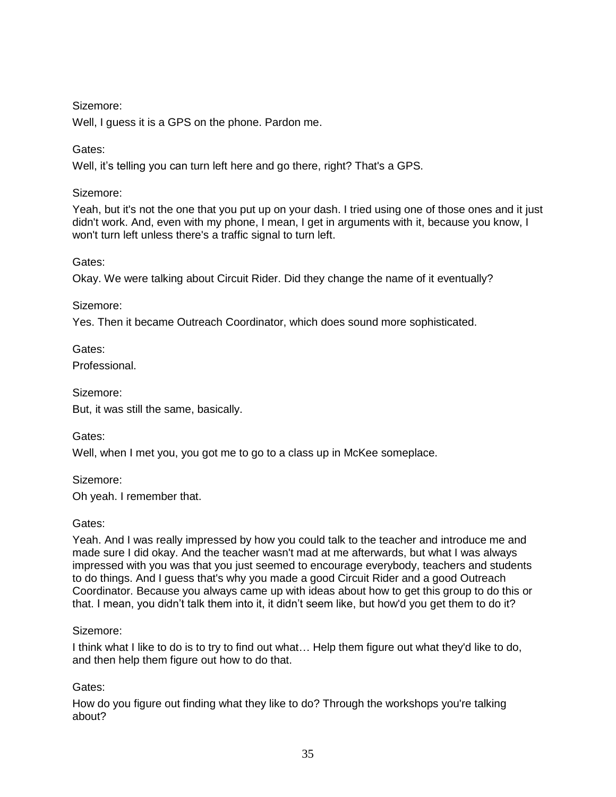Well, I guess it is a GPS on the phone. Pardon me.

## Gates:

Well, it's telling you can turn left here and go there, right? That's a GPS.

## Sizemore:

Yeah, but it's not the one that you put up on your dash. I tried using one of those ones and it just didn't work. And, even with my phone, I mean, I get in arguments with it, because you know, I won't turn left unless there's a traffic signal to turn left.

Gates:

Okay. We were talking about Circuit Rider. Did they change the name of it eventually?

## Sizemore:

Yes. Then it became Outreach Coordinator, which does sound more sophisticated.

Gates:

Professional.

Sizemore:

But, it was still the same, basically.

Gates:

Well, when I met you, you got me to go to a class up in McKee someplace.

Sizemore:

Oh yeah. I remember that.

## Gates:

Yeah. And I was really impressed by how you could talk to the teacher and introduce me and made sure I did okay. And the teacher wasn't mad at me afterwards, but what I was always impressed with you was that you just seemed to encourage everybody, teachers and students to do things. And I guess that's why you made a good Circuit Rider and a good Outreach Coordinator. Because you always came up with ideas about how to get this group to do this or that. I mean, you didn't talk them into it, it didn't seem like, but how'd you get them to do it?

## Sizemore:

I think what I like to do is to try to find out what… Help them figure out what they'd like to do, and then help them figure out how to do that.

# Gates:

How do you figure out finding what they like to do? Through the workshops you're talking about?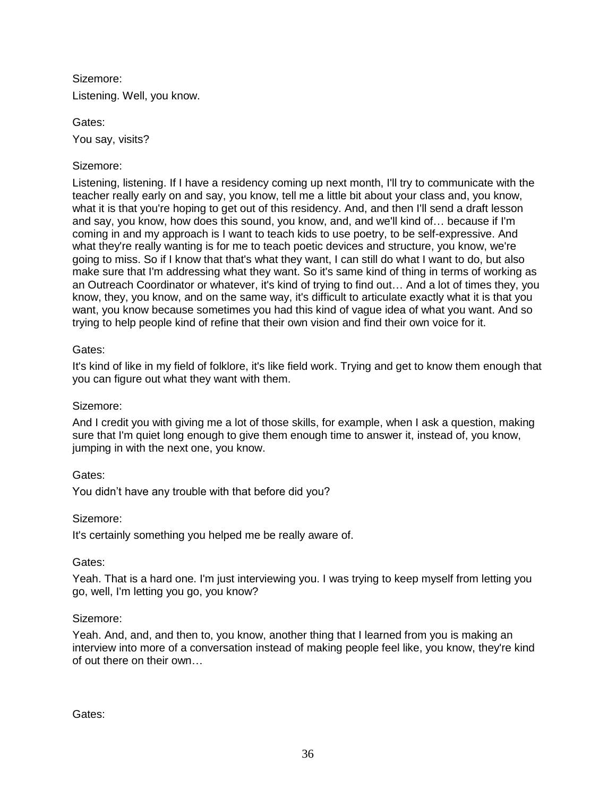Sizemore: Listening. Well, you know.

Gates: You say, visits?

# Sizemore:

Listening, listening. If I have a residency coming up next month, I'll try to communicate with the teacher really early on and say, you know, tell me a little bit about your class and, you know, what it is that you're hoping to get out of this residency. And, and then I'll send a draft lesson and say, you know, how does this sound, you know, and, and we'll kind of… because if I'm coming in and my approach is I want to teach kids to use poetry, to be self-expressive. And what they're really wanting is for me to teach poetic devices and structure, you know, we're going to miss. So if I know that that's what they want, I can still do what I want to do, but also make sure that I'm addressing what they want. So it's same kind of thing in terms of working as an Outreach Coordinator or whatever, it's kind of trying to find out… And a lot of times they, you know, they, you know, and on the same way, it's difficult to articulate exactly what it is that you want, you know because sometimes you had this kind of vague idea of what you want. And so trying to help people kind of refine that their own vision and find their own voice for it.

## Gates:

It's kind of like in my field of folklore, it's like field work. Trying and get to know them enough that you can figure out what they want with them.

# Sizemore:

And I credit you with giving me a lot of those skills, for example, when I ask a question, making sure that I'm quiet long enough to give them enough time to answer it, instead of, you know, jumping in with the next one, you know.

## Gates:

You didn't have any trouble with that before did you?

## Sizemore:

It's certainly something you helped me be really aware of.

## Gates:

Yeah. That is a hard one. I'm just interviewing you. I was trying to keep myself from letting you go, well, I'm letting you go, you know?

## Sizemore:

Yeah. And, and, and then to, you know, another thing that I learned from you is making an interview into more of a conversation instead of making people feel like, you know, they're kind of out there on their own…

Gates: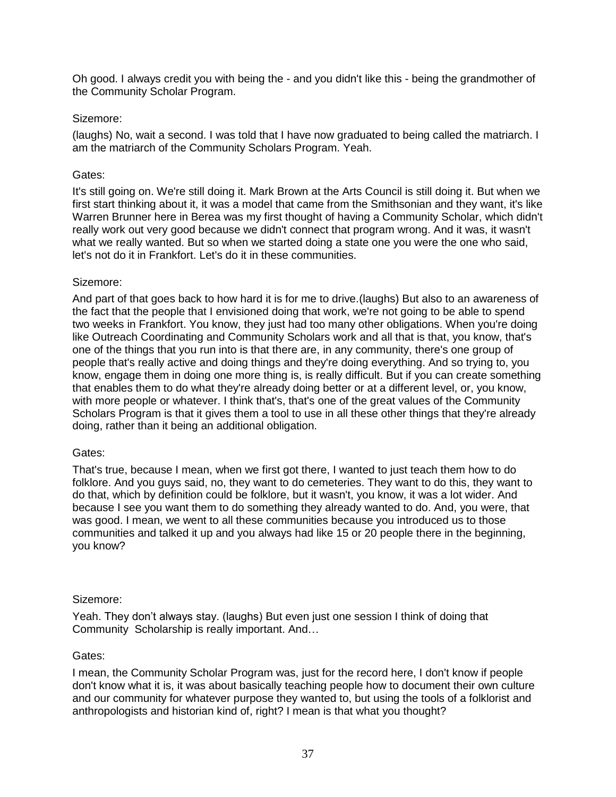Oh good. I always credit you with being the - and you didn't like this - being the grandmother of the Community Scholar Program.

### Sizemore:

(laughs) No, wait a second. I was told that I have now graduated to being called the matriarch. I am the matriarch of the Community Scholars Program. Yeah.

### Gates:

It's still going on. We're still doing it. Mark Brown at the Arts Council is still doing it. But when we first start thinking about it, it was a model that came from the Smithsonian and they want, it's like Warren Brunner here in Berea was my first thought of having a Community Scholar, which didn't really work out very good because we didn't connect that program wrong. And it was, it wasn't what we really wanted. But so when we started doing a state one you were the one who said, let's not do it in Frankfort. Let's do it in these communities.

### Sizemore:

And part of that goes back to how hard it is for me to drive.(laughs) But also to an awareness of the fact that the people that I envisioned doing that work, we're not going to be able to spend two weeks in Frankfort. You know, they just had too many other obligations. When you're doing like Outreach Coordinating and Community Scholars work and all that is that, you know, that's one of the things that you run into is that there are, in any community, there's one group of people that's really active and doing things and they're doing everything. And so trying to, you know, engage them in doing one more thing is, is really difficult. But if you can create something that enables them to do what they're already doing better or at a different level, or, you know, with more people or whatever. I think that's, that's one of the great values of the Community Scholars Program is that it gives them a tool to use in all these other things that they're already doing, rather than it being an additional obligation.

#### Gates:

That's true, because I mean, when we first got there, I wanted to just teach them how to do folklore. And you guys said, no, they want to do cemeteries. They want to do this, they want to do that, which by definition could be folklore, but it wasn't, you know, it was a lot wider. And because I see you want them to do something they already wanted to do. And, you were, that was good. I mean, we went to all these communities because you introduced us to those communities and talked it up and you always had like 15 or 20 people there in the beginning, you know?

#### Sizemore:

Yeah. They don't always stay. (laughs) But even just one session I think of doing that Community Scholarship is really important. And…

#### Gates:

I mean, the Community Scholar Program was, just for the record here, I don't know if people don't know what it is, it was about basically teaching people how to document their own culture and our community for whatever purpose they wanted to, but using the tools of a folklorist and anthropologists and historian kind of, right? I mean is that what you thought?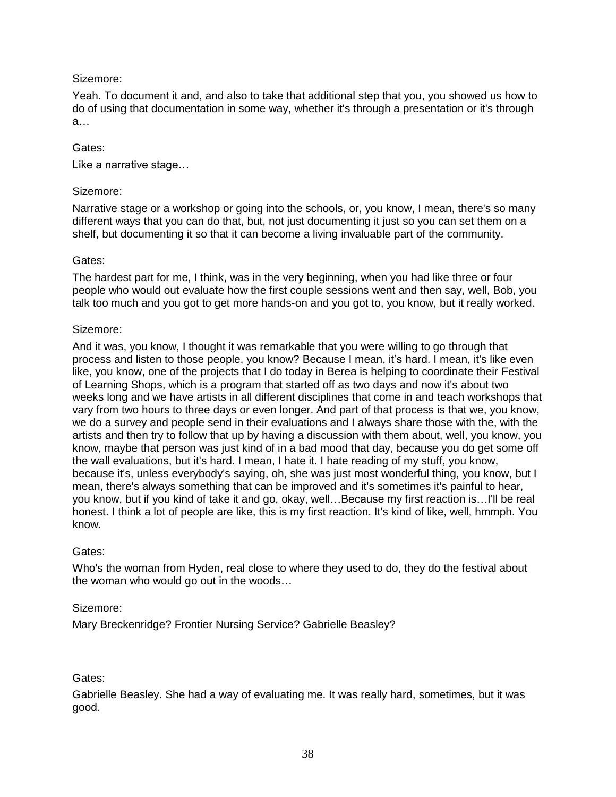Yeah. To document it and, and also to take that additional step that you, you showed us how to do of using that documentation in some way, whether it's through a presentation or it's through a…

## Gates:

Like a narrative stage…

### Sizemore:

Narrative stage or a workshop or going into the schools, or, you know, I mean, there's so many different ways that you can do that, but, not just documenting it just so you can set them on a shelf, but documenting it so that it can become a living invaluable part of the community.

### Gates:

The hardest part for me, I think, was in the very beginning, when you had like three or four people who would out evaluate how the first couple sessions went and then say, well, Bob, you talk too much and you got to get more hands-on and you got to, you know, but it really worked.

### Sizemore:

And it was, you know, I thought it was remarkable that you were willing to go through that process and listen to those people, you know? Because I mean, it's hard. I mean, it's like even like, you know, one of the projects that I do today in Berea is helping to coordinate their Festival of Learning Shops, which is a program that started off as two days and now it's about two weeks long and we have artists in all different disciplines that come in and teach workshops that vary from two hours to three days or even longer. And part of that process is that we, you know, we do a survey and people send in their evaluations and I always share those with the, with the artists and then try to follow that up by having a discussion with them about, well, you know, you know, maybe that person was just kind of in a bad mood that day, because you do get some off the wall evaluations, but it's hard. I mean, I hate it. I hate reading of my stuff, you know, because it's, unless everybody's saying, oh, she was just most wonderful thing, you know, but I mean, there's always something that can be improved and it's sometimes it's painful to hear, you know, but if you kind of take it and go, okay, well…Because my first reaction is…I'll be real honest. I think a lot of people are like, this is my first reaction. It's kind of like, well, hmmph. You know.

## Gates:

Who's the woman from Hyden, real close to where they used to do, they do the festival about the woman who would go out in the woods…

## Sizemore:

Mary Breckenridge? Frontier Nursing Service? Gabrielle Beasley?

## Gates:

Gabrielle Beasley. She had a way of evaluating me. It was really hard, sometimes, but it was good.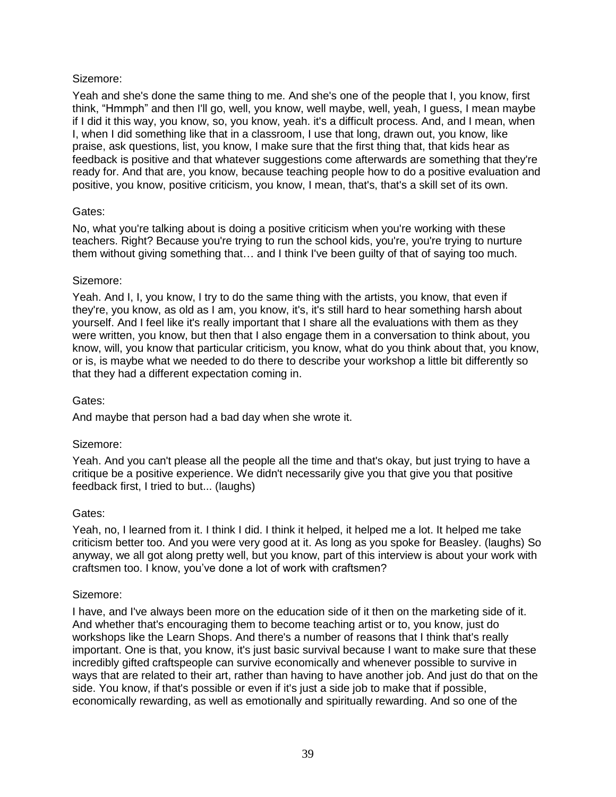Yeah and she's done the same thing to me. And she's one of the people that I, you know, first think, "Hmmph" and then I'll go, well, you know, well maybe, well, yeah, I guess, I mean maybe if I did it this way, you know, so, you know, yeah. it's a difficult process. And, and I mean, when I, when I did something like that in a classroom, I use that long, drawn out, you know, like praise, ask questions, list, you know, I make sure that the first thing that, that kids hear as feedback is positive and that whatever suggestions come afterwards are something that they're ready for. And that are, you know, because teaching people how to do a positive evaluation and positive, you know, positive criticism, you know, I mean, that's, that's a skill set of its own.

### Gates:

No, what you're talking about is doing a positive criticism when you're working with these teachers. Right? Because you're trying to run the school kids, you're, you're trying to nurture them without giving something that… and I think I've been guilty of that of saying too much.

### Sizemore:

Yeah. And I, I, you know, I try to do the same thing with the artists, you know, that even if they're, you know, as old as I am, you know, it's, it's still hard to hear something harsh about yourself. And I feel like it's really important that I share all the evaluations with them as they were written, you know, but then that I also engage them in a conversation to think about, you know, will, you know that particular criticism, you know, what do you think about that, you know, or is, is maybe what we needed to do there to describe your workshop a little bit differently so that they had a different expectation coming in.

#### Gates:

And maybe that person had a bad day when she wrote it.

## Sizemore:

Yeah. And you can't please all the people all the time and that's okay, but just trying to have a critique be a positive experience. We didn't necessarily give you that give you that positive feedback first, I tried to but... (laughs)

#### Gates:

Yeah, no, I learned from it. I think I did. I think it helped, it helped me a lot. It helped me take criticism better too. And you were very good at it. As long as you spoke for Beasley. (laughs) So anyway, we all got along pretty well, but you know, part of this interview is about your work with craftsmen too. I know, you've done a lot of work with craftsmen?

#### Sizemore:

I have, and I've always been more on the education side of it then on the marketing side of it. And whether that's encouraging them to become teaching artist or to, you know, just do workshops like the Learn Shops. And there's a number of reasons that I think that's really important. One is that, you know, it's just basic survival because I want to make sure that these incredibly gifted craftspeople can survive economically and whenever possible to survive in ways that are related to their art, rather than having to have another job. And just do that on the side. You know, if that's possible or even if it's just a side job to make that if possible, economically rewarding, as well as emotionally and spiritually rewarding. And so one of the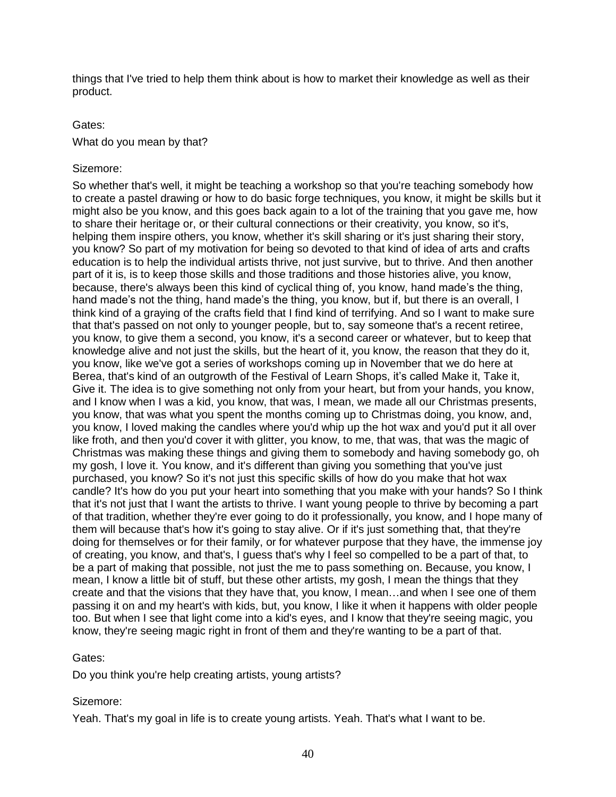things that I've tried to help them think about is how to market their knowledge as well as their product.

## Gates:

What do you mean by that?

### Sizemore:

So whether that's well, it might be teaching a workshop so that you're teaching somebody how to create a pastel drawing or how to do basic forge techniques, you know, it might be skills but it might also be you know, and this goes back again to a lot of the training that you gave me, how to share their heritage or, or their cultural connections or their creativity, you know, so it's, helping them inspire others, you know, whether it's skill sharing or it's just sharing their story, you know? So part of my motivation for being so devoted to that kind of idea of arts and crafts education is to help the individual artists thrive, not just survive, but to thrive. And then another part of it is, is to keep those skills and those traditions and those histories alive, you know, because, there's always been this kind of cyclical thing of, you know, hand made's the thing, hand made's not the thing, hand made's the thing, you know, but if, but there is an overall, I think kind of a graying of the crafts field that I find kind of terrifying. And so I want to make sure that that's passed on not only to younger people, but to, say someone that's a recent retiree, you know, to give them a second, you know, it's a second career or whatever, but to keep that knowledge alive and not just the skills, but the heart of it, you know, the reason that they do it, you know, like we've got a series of workshops coming up in November that we do here at Berea, that's kind of an outgrowth of the Festival of Learn Shops, it's called Make it, Take it, Give it. The idea is to give something not only from your heart, but from your hands, you know, and I know when I was a kid, you know, that was, I mean, we made all our Christmas presents, you know, that was what you spent the months coming up to Christmas doing, you know, and, you know, I loved making the candles where you'd whip up the hot wax and you'd put it all over like froth, and then you'd cover it with glitter, you know, to me, that was, that was the magic of Christmas was making these things and giving them to somebody and having somebody go, oh my gosh, I love it. You know, and it's different than giving you something that you've just purchased, you know? So it's not just this specific skills of how do you make that hot wax candle? It's how do you put your heart into something that you make with your hands? So I think that it's not just that I want the artists to thrive. I want young people to thrive by becoming a part of that tradition, whether they're ever going to do it professionally, you know, and I hope many of them will because that's how it's going to stay alive. Or if it's just something that, that they're doing for themselves or for their family, or for whatever purpose that they have, the immense joy of creating, you know, and that's, I guess that's why I feel so compelled to be a part of that, to be a part of making that possible, not just the me to pass something on. Because, you know, I mean, I know a little bit of stuff, but these other artists, my gosh, I mean the things that they create and that the visions that they have that, you know, I mean…and when I see one of them passing it on and my heart's with kids, but, you know, I like it when it happens with older people too. But when I see that light come into a kid's eyes, and I know that they're seeing magic, you know, they're seeing magic right in front of them and they're wanting to be a part of that.

## Gates:

Do you think you're help creating artists, young artists?

## Sizemore:

Yeah. That's my goal in life is to create young artists. Yeah. That's what I want to be.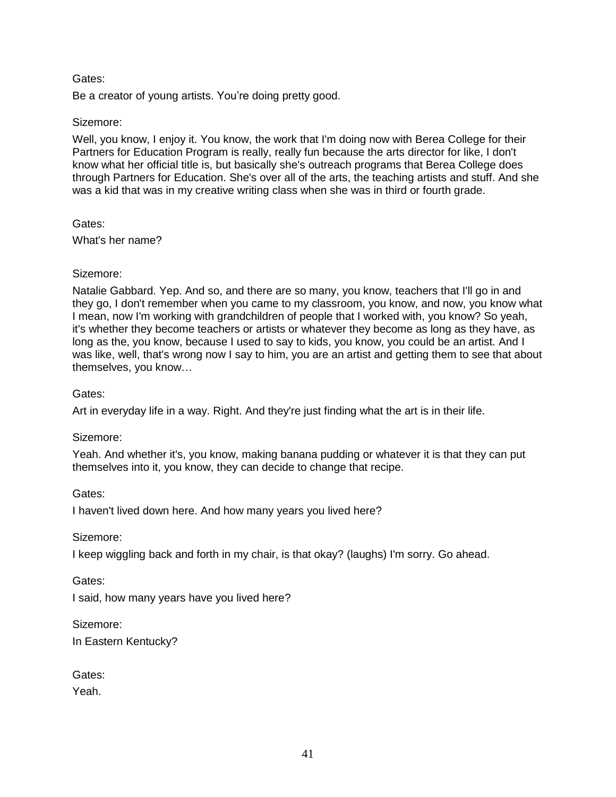Be a creator of young artists. You're doing pretty good.

### Sizemore:

Well, you know, I enjoy it. You know, the work that I'm doing now with Berea College for their Partners for Education Program is really, really fun because the arts director for like, I don't know what her official title is, but basically she's outreach programs that Berea College does through Partners for Education. She's over all of the arts, the teaching artists and stuff. And she was a kid that was in my creative writing class when she was in third or fourth grade.

### Gates:

What's her name?

## Sizemore:

Natalie Gabbard. Yep. And so, and there are so many, you know, teachers that I'll go in and they go, I don't remember when you came to my classroom, you know, and now, you know what I mean, now I'm working with grandchildren of people that I worked with, you know? So yeah, it's whether they become teachers or artists or whatever they become as long as they have, as long as the, you know, because I used to say to kids, you know, you could be an artist. And I was like, well, that's wrong now I say to him, you are an artist and getting them to see that about themselves, you know…

## Gates:

Art in everyday life in a way. Right. And they're just finding what the art is in their life.

## Sizemore:

Yeah. And whether it's, you know, making banana pudding or whatever it is that they can put themselves into it, you know, they can decide to change that recipe.

Gates:

I haven't lived down here. And how many years you lived here?

Sizemore:

I keep wiggling back and forth in my chair, is that okay? (laughs) I'm sorry. Go ahead.

Gates:

I said, how many years have you lived here?

Sizemore:

In Eastern Kentucky?

Gates:

Yeah.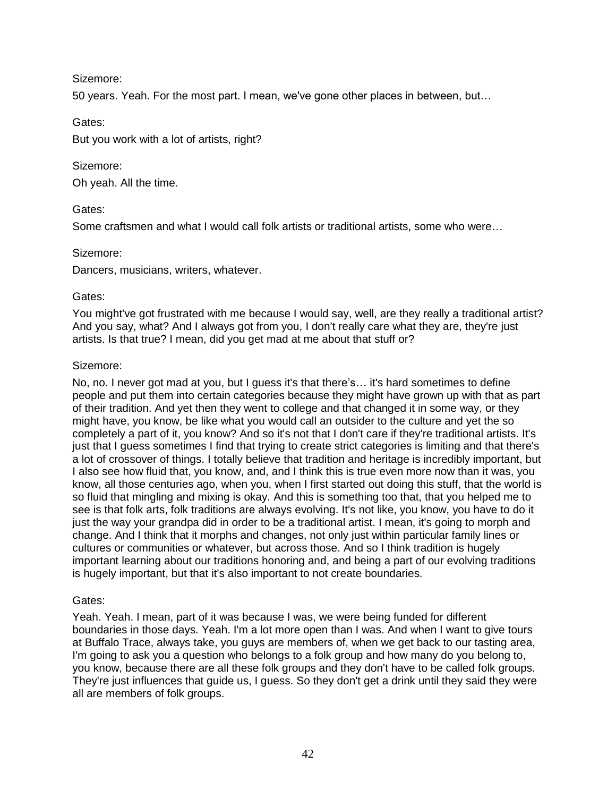50 years. Yeah. For the most part. I mean, we've gone other places in between, but…

Gates:

But you work with a lot of artists, right?

## Sizemore:

Oh yeah. All the time.

### Gates:

Some craftsmen and what I would call folk artists or traditional artists, some who were…

### Sizemore:

Dancers, musicians, writers, whatever.

### Gates:

You might've got frustrated with me because I would say, well, are they really a traditional artist? And you say, what? And I always got from you, I don't really care what they are, they're just artists. Is that true? I mean, did you get mad at me about that stuff or?

### Sizemore:

No, no. I never got mad at you, but I guess it's that there's… it's hard sometimes to define people and put them into certain categories because they might have grown up with that as part of their tradition. And yet then they went to college and that changed it in some way, or they might have, you know, be like what you would call an outsider to the culture and yet the so completely a part of it, you know? And so it's not that I don't care if they're traditional artists. It's just that I guess sometimes I find that trying to create strict categories is limiting and that there's a lot of crossover of things. I totally believe that tradition and heritage is incredibly important, but I also see how fluid that, you know, and, and I think this is true even more now than it was, you know, all those centuries ago, when you, when I first started out doing this stuff, that the world is so fluid that mingling and mixing is okay. And this is something too that, that you helped me to see is that folk arts, folk traditions are always evolving. It's not like, you know, you have to do it just the way your grandpa did in order to be a traditional artist. I mean, it's going to morph and change. And I think that it morphs and changes, not only just within particular family lines or cultures or communities or whatever, but across those. And so I think tradition is hugely important learning about our traditions honoring and, and being a part of our evolving traditions is hugely important, but that it's also important to not create boundaries.

## Gates:

Yeah. Yeah. I mean, part of it was because I was, we were being funded for different boundaries in those days. Yeah. I'm a lot more open than I was. And when I want to give tours at Buffalo Trace, always take, you guys are members of, when we get back to our tasting area, I'm going to ask you a question who belongs to a folk group and how many do you belong to, you know, because there are all these folk groups and they don't have to be called folk groups. They're just influences that guide us, I guess. So they don't get a drink until they said they were all are members of folk groups.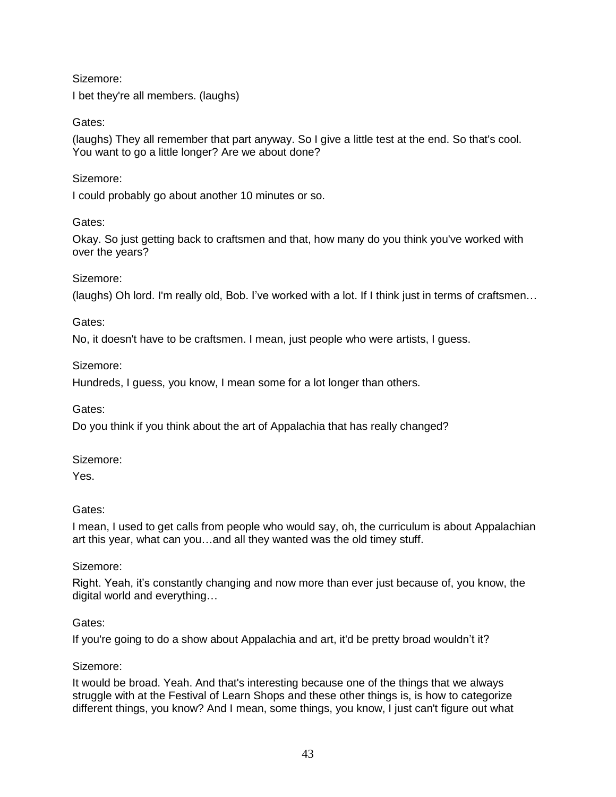I bet they're all members. (laughs)

## Gates:

(laughs) They all remember that part anyway. So I give a little test at the end. So that's cool. You want to go a little longer? Are we about done?

## Sizemore:

I could probably go about another 10 minutes or so.

## Gates:

Okay. So just getting back to craftsmen and that, how many do you think you've worked with over the years?

## Sizemore:

(laughs) Oh lord. I'm really old, Bob. I've worked with a lot. If I think just in terms of craftsmen…

## Gates:

No, it doesn't have to be craftsmen. I mean, just people who were artists, I guess.

## Sizemore:

Hundreds, I guess, you know, I mean some for a lot longer than others.

Gates:

Do you think if you think about the art of Appalachia that has really changed?

## Sizemore:

Yes.

# Gates:

I mean, I used to get calls from people who would say, oh, the curriculum is about Appalachian art this year, what can you…and all they wanted was the old timey stuff.

## Sizemore:

Right. Yeah, it's constantly changing and now more than ever just because of, you know, the digital world and everything…

## Gates:

If you're going to do a show about Appalachia and art, it'd be pretty broad wouldn't it?

## Sizemore:

It would be broad. Yeah. And that's interesting because one of the things that we always struggle with at the Festival of Learn Shops and these other things is, is how to categorize different things, you know? And I mean, some things, you know, I just can't figure out what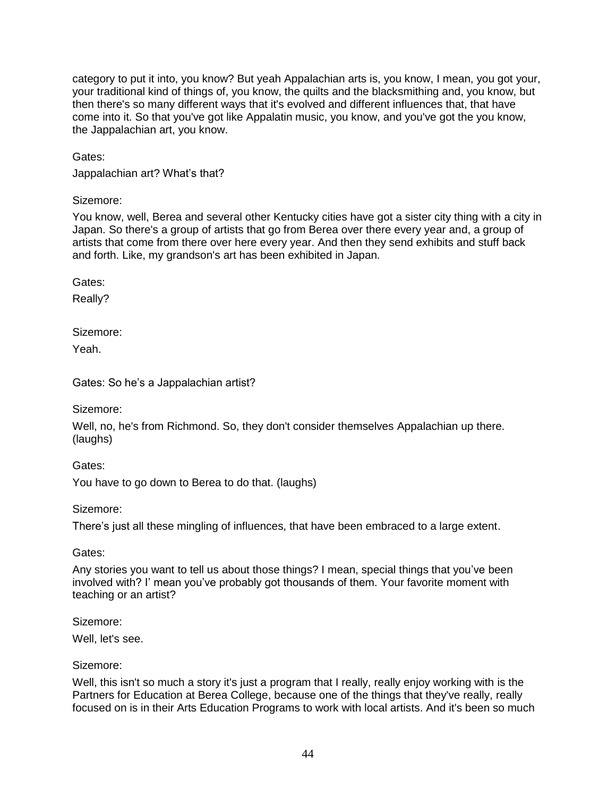category to put it into, you know? But yeah Appalachian arts is, you know, I mean, you got your, your traditional kind of things of, you know, the quilts and the blacksmithing and, you know, but then there's so many different ways that it's evolved and different influences that, that have come into it. So that you've got like Appalatin music, you know, and you've got the you know, the Jappalachian art, you know.

Gates:

Jappalachian art? What's that?

Sizemore:

You know, well, Berea and several other Kentucky cities have got a sister city thing with a city in Japan. So there's a group of artists that go from Berea over there every year and, a group of artists that come from there over here every year. And then they send exhibits and stuff back and forth. Like, my grandson's art has been exhibited in Japan.

Gates:

Really?

Sizemore:

Yeah.

Gates: So he's a Jappalachian artist?

Sizemore:

Well, no, he's from Richmond. So, they don't consider themselves Appalachian up there. (laughs)

Gates:

You have to go down to Berea to do that. (laughs)

Sizemore:

There's just all these mingling of influences, that have been embraced to a large extent.

Gates:

Any stories you want to tell us about those things? I mean, special things that you've been involved with? I' mean you've probably got thousands of them. Your favorite moment with teaching or an artist?

Sizemore:

Well, let's see.

## Sizemore:

Well, this isn't so much a story it's just a program that I really, really enjoy working with is the Partners for Education at Berea College, because one of the things that they've really, really focused on is in their Arts Education Programs to work with local artists. And it's been so much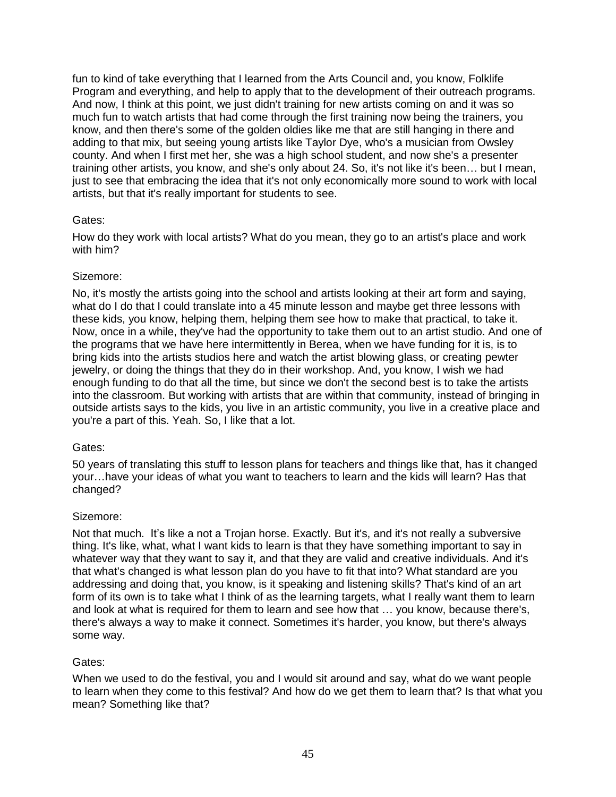fun to kind of take everything that I learned from the Arts Council and, you know, Folklife Program and everything, and help to apply that to the development of their outreach programs. And now, I think at this point, we just didn't training for new artists coming on and it was so much fun to watch artists that had come through the first training now being the trainers, you know, and then there's some of the golden oldies like me that are still hanging in there and adding to that mix, but seeing young artists like Taylor Dye, who's a musician from Owsley county. And when I first met her, she was a high school student, and now she's a presenter training other artists, you know, and she's only about 24. So, it's not like it's been… but I mean, just to see that embracing the idea that it's not only economically more sound to work with local artists, but that it's really important for students to see.

## Gates:

How do they work with local artists? What do you mean, they go to an artist's place and work with him?

## Sizemore:

No, it's mostly the artists going into the school and artists looking at their art form and saying, what do I do that I could translate into a 45 minute lesson and maybe get three lessons with these kids, you know, helping them, helping them see how to make that practical, to take it. Now, once in a while, they've had the opportunity to take them out to an artist studio. And one of the programs that we have here intermittently in Berea, when we have funding for it is, is to bring kids into the artists studios here and watch the artist blowing glass, or creating pewter jewelry, or doing the things that they do in their workshop. And, you know, I wish we had enough funding to do that all the time, but since we don't the second best is to take the artists into the classroom. But working with artists that are within that community, instead of bringing in outside artists says to the kids, you live in an artistic community, you live in a creative place and you're a part of this. Yeah. So, I like that a lot.

# Gates:

50 years of translating this stuff to lesson plans for teachers and things like that, has it changed your…have your ideas of what you want to teachers to learn and the kids will learn? Has that changed?

## Sizemore:

Not that much. It's like a not a Trojan horse. Exactly. But it's, and it's not really a subversive thing. It's like, what, what I want kids to learn is that they have something important to say in whatever way that they want to say it, and that they are valid and creative individuals. And it's that what's changed is what lesson plan do you have to fit that into? What standard are you addressing and doing that, you know, is it speaking and listening skills? That's kind of an art form of its own is to take what I think of as the learning targets, what I really want them to learn and look at what is required for them to learn and see how that … you know, because there's, there's always a way to make it connect. Sometimes it's harder, you know, but there's always some way.

# Gates:

When we used to do the festival, you and I would sit around and say, what do we want people to learn when they come to this festival? And how do we get them to learn that? Is that what you mean? Something like that?